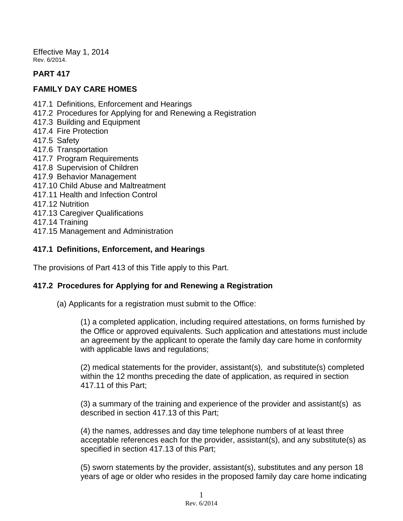Effective May 1, 2014 Rev. 6/2014.

# **PART 417**

### **FAMILY DAY CARE HOMES**

- 417.1 Definitions, Enforcement and Hearings
- 417.2 Procedures for Applying for and Renewing a Registration
- 417.3 Building and Equipment
- 417.4 Fire Protection
- 417.5 Safety
- 417.6 Transportation
- 417.7 Program Requirements
- 417.8 Supervision of Children
- 417.9 Behavior Management
- 417.10 Child Abuse and Maltreatment
- 417.11 Health and Infection Control
- 417.12 Nutrition
- 417.13 Caregiver Qualifications
- 417.14 Training
- 417.15 Management and Administration

## **417.1 Definitions, Enforcement, and Hearings**

The provisions of Part 413 of this Title apply to this Part.

## **417.2 Procedures for Applying for and Renewing a Registration**

(a) Applicants for a registration must submit to the Office:

(1) a completed application, including required attestations, on forms furnished by the Office or approved equivalents. Such application and attestations must include an agreement by the applicant to operate the family day care home in conformity with applicable laws and regulations;

(2) medical statements for the provider, assistant(s), and substitute(s) completed within the 12 months preceding the date of application, as required in section 417.11 of this Part;

(3) a summary of the training and experience of the provider and assistant(s) as described in section 417.13 of this Part;

(4) the names, addresses and day time telephone numbers of at least three acceptable references each for the provider, assistant(s), and any substitute(s) as specified in section 417.13 of this Part;

(5) sworn statements by the provider, assistant(s), substitutes and any person 18 years of age or older who resides in the proposed family day care home indicating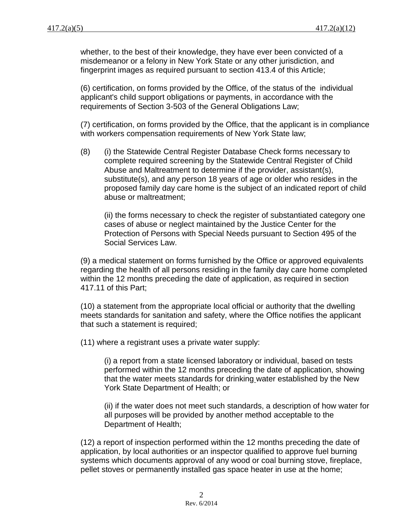whether, to the best of their knowledge, they have ever been convicted of a misdemeanor or a felony in New York State or any other jurisdiction, and fingerprint images as required pursuant to section 413.4 of this Article;

(6) certification, on forms provided by the Office, of the status of the individual applicant's child support obligations or payments, in accordance with the requirements of Section 3-503 of the General Obligations Law;

(7) certification, on forms provided by the Office, that the applicant is in compliance with workers compensation requirements of New York State law;

(8) (i) the Statewide Central Register Database Check forms necessary to complete required screening by the Statewide Central Register of Child Abuse and Maltreatment to determine if the provider, assistant(s), substitute(s), and any person 18 years of age or older who resides in the proposed family day care home is the subject of an indicated report of child abuse or maltreatment;

(ii) the forms necessary to check the register of substantiated category one cases of abuse or neglect maintained by the Justice Center for the Protection of Persons with Special Needs pursuant to Section 495 of the Social Services Law.

(9) a medical statement on forms furnished by the Office or approved equivalents regarding the health of all persons residing in the family day care home completed within the 12 months preceding the date of application, as required in section 417.11 of this Part;

(10) a statement from the appropriate local official or authority that the dwelling meets standards for sanitation and safety, where the Office notifies the applicant that such a statement is required;

(11) where a registrant uses a private water supply:

(i) a report from a state licensed laboratory or individual, based on tests performed within the 12 months preceding the date of application, showing that the water meets standards for drinking water established by the New York State Department of Health; or

(ii) if the water does not meet such standards, a description of how water for all purposes will be provided by another method acceptable to the Department of Health;

(12) a report of inspection performed within the 12 months preceding the date of application, by local authorities or an inspector qualified to approve fuel burning systems which documents approval of any wood or coal burning stove, fireplace, pellet stoves or permanently installed gas space heater in use at the home;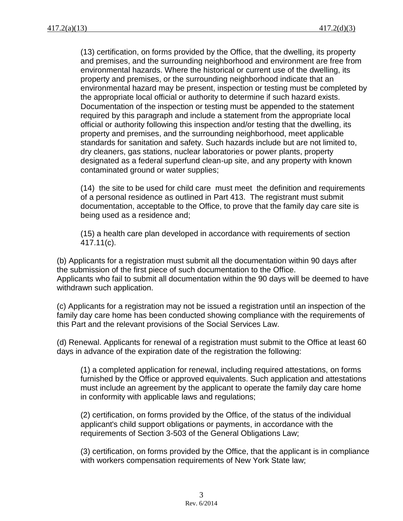(13) certification, on forms provided by the Office, that the dwelling, its property and premises, and the surrounding neighborhood and environment are free from environmental hazards. Where the historical or current use of the dwelling, its property and premises, or the surrounding neighborhood indicate that an environmental hazard may be present, inspection or testing must be completed by the appropriate local official or authority to determine if such hazard exists. Documentation of the inspection or testing must be appended to the statement required by this paragraph and include a statement from the appropriate local official or authority following this inspection and/or testing that the dwelling, its property and premises, and the surrounding neighborhood, meet applicable standards for sanitation and safety. Such hazards include but are not limited to, dry cleaners, gas stations, nuclear laboratories or power plants, property designated as a federal superfund clean-up site, and any property with known contaminated ground or water supplies;

(14) the site to be used for child care must meet the definition and requirements of a personal residence as outlined in Part 413. The registrant must submit documentation, acceptable to the Office, to prove that the family day care site is being used as a residence and;

(15) a health care plan developed in accordance with requirements of section 417.11(c).

(b) Applicants for a registration must submit all the documentation within 90 days after the submission of the first piece of such documentation to the Office. Applicants who fail to submit all documentation within the 90 days will be deemed to have withdrawn such application.

(c) Applicants for a registration may not be issued a registration until an inspection of the family day care home has been conducted showing compliance with the requirements of this Part and the relevant provisions of the Social Services Law.

(d) Renewal. Applicants for renewal of a registration must submit to the Office at least 60 days in advance of the expiration date of the registration the following:

(1) a completed application for renewal, including required attestations, on forms furnished by the Office or approved equivalents. Such application and attestations must include an agreement by the applicant to operate the family day care home in conformity with applicable laws and regulations;

(2) certification, on forms provided by the Office, of the status of the individual applicant's child support obligations or payments, in accordance with the requirements of Section 3-503 of the General Obligations Law;

(3) certification, on forms provided by the Office, that the applicant is in compliance with workers compensation requirements of New York State law;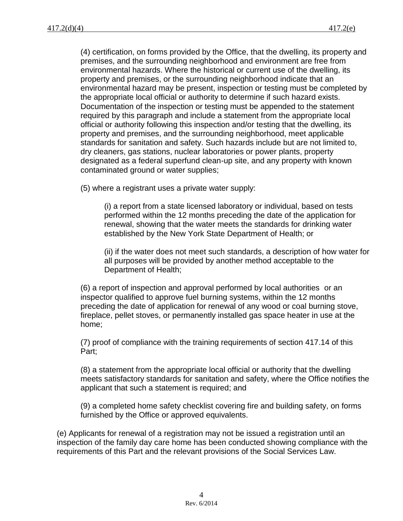(4) certification, on forms provided by the Office, that the dwelling, its property and premises, and the surrounding neighborhood and environment are free from environmental hazards. Where the historical or current use of the dwelling, its property and premises, or the surrounding neighborhood indicate that an environmental hazard may be present, inspection or testing must be completed by the appropriate local official or authority to determine if such hazard exists. Documentation of the inspection or testing must be appended to the statement required by this paragraph and include a statement from the appropriate local official or authority following this inspection and/or testing that the dwelling, its property and premises, and the surrounding neighborhood, meet applicable standards for sanitation and safety. Such hazards include but are not limited to, dry cleaners, gas stations, nuclear laboratories or power plants, property designated as a federal superfund clean-up site, and any property with known contaminated ground or water supplies;

(5) where a registrant uses a private water supply:

(i) a report from a state licensed laboratory or individual, based on tests performed within the 12 months preceding the date of the application for renewal, showing that the water meets the standards for drinking water established by the New York State Department of Health; or

(ii) if the water does not meet such standards, a description of how water for all purposes will be provided by another method acceptable to the Department of Health;

(6) a report of inspection and approval performed by local authorities or an inspector qualified to approve fuel burning systems, within the 12 months preceding the date of application for renewal of any wood or coal burning stove, fireplace, pellet stoves, or permanently installed gas space heater in use at the home;

(7) proof of compliance with the training requirements of section 417.14 of this Part;

(8) a statement from the appropriate local official or authority that the dwelling meets satisfactory standards for sanitation and safety, where the Office notifies the applicant that such a statement is required; and

(9) a completed home safety checklist covering fire and building safety, on forms furnished by the Office or approved equivalents.

(e) Applicants for renewal of a registration may not be issued a registration until an inspection of the family day care home has been conducted showing compliance with the requirements of this Part and the relevant provisions of the Social Services Law.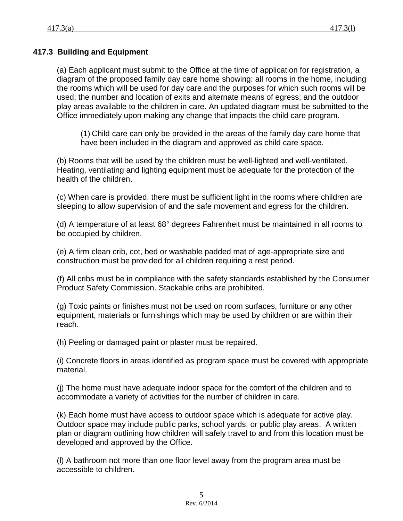# **417.3 Building and Equipment**

(a) Each applicant must submit to the Office at the time of application for registration, a diagram of the proposed family day care home showing: all rooms in the home, including the rooms which will be used for day care and the purposes for which such rooms will be used; the number and location of exits and alternate means of egress; and the outdoor play areas available to the children in care. An updated diagram must be submitted to the Office immediately upon making any change that impacts the child care program.

(1) Child care can only be provided in the areas of the family day care home that have been included in the diagram and approved as child care space.

(b) Rooms that will be used by the children must be well-lighted and well-ventilated. Heating, ventilating and lighting equipment must be adequate for the protection of the health of the children.

(c) When care is provided, there must be sufficient light in the rooms where children are sleeping to allow supervision of and the safe movement and egress for the children.

(d) A temperature of at least 68° degrees Fahrenheit must be maintained in all rooms to be occupied by children.

(e) A firm clean crib, cot, bed or washable padded mat of age-appropriate size and construction must be provided for all children requiring a rest period.

(f) All cribs must be in compliance with the safety standards established by the Consumer Product Safety Commission. Stackable cribs are prohibited.

(g) Toxic paints or finishes must not be used on room surfaces, furniture or any other equipment, materials or furnishings which may be used by children or are within their reach.

(h) Peeling or damaged paint or plaster must be repaired.

(i) Concrete floors in areas identified as program space must be covered with appropriate material.

(j) The home must have adequate indoor space for the comfort of the children and to accommodate a variety of activities for the number of children in care.

(k) Each home must have access to outdoor space which is adequate for active play. Outdoor space may include public parks, school yards, or public play areas. A written plan or diagram outlining how children will safely travel to and from this location must be developed and approved by the Office.

(l) A bathroom not more than one floor level away from the program area must be accessible to children.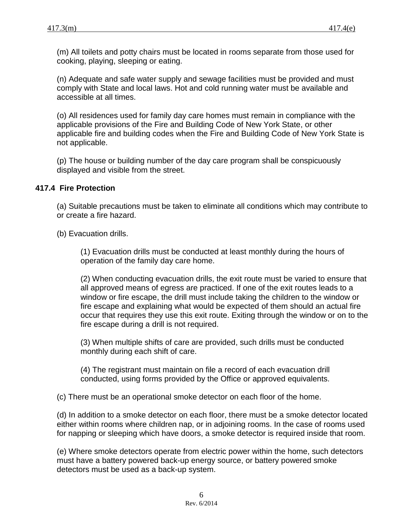(m) All toilets and potty chairs must be located in rooms separate from those used for cooking, playing, sleeping or eating.

(n) Adequate and safe water supply and sewage facilities must be provided and must comply with State and local laws. Hot and cold running water must be available and accessible at all times.

(o) All residences used for family day care homes must remain in compliance with the applicable provisions of the Fire and Building Code of New York State, or other applicable fire and building codes when the Fire and Building Code of New York State is not applicable.

(p) The house or building number of the day care program shall be conspicuously displayed and visible from the street.

#### **417.4 Fire Protection**

(a) Suitable precautions must be taken to eliminate all conditions which may contribute to or create a fire hazard.

(b) Evacuation drills.

(1) Evacuation drills must be conducted at least monthly during the hours of operation of the family day care home.

(2) When conducting evacuation drills, the exit route must be varied to ensure that all approved means of egress are practiced. If one of the exit routes leads to a window or fire escape, the drill must include taking the children to the window or fire escape and explaining what would be expected of them should an actual fire occur that requires they use this exit route. Exiting through the window or on to the fire escape during a drill is not required.

(3) When multiple shifts of care are provided, such drills must be conducted monthly during each shift of care.

(4) The registrant must maintain on file a record of each evacuation drill conducted, using forms provided by the Office or approved equivalents.

(c) There must be an operational smoke detector on each floor of the home.

(d) In addition to a smoke detector on each floor, there must be a smoke detector located either within rooms where children nap, or in adjoining rooms. In the case of rooms used for napping or sleeping which have doors, a smoke detector is required inside that room.

(e) Where smoke detectors operate from electric power within the home, such detectors must have a battery powered back-up energy source, or battery powered smoke detectors must be used as a back-up system.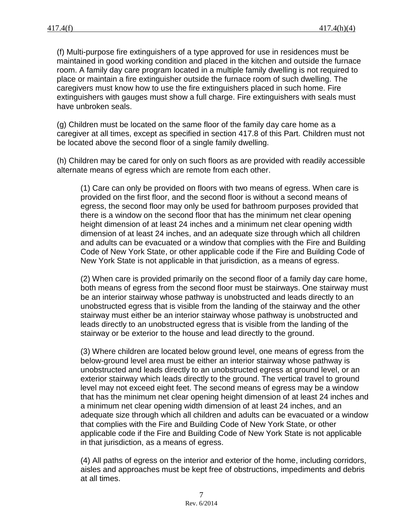(f) Multi-purpose fire extinguishers of a type approved for use in residences must be maintained in good working condition and placed in the kitchen and outside the furnace room. A family day care program located in a multiple family dwelling is not required to place or maintain a fire extinguisher outside the furnace room of such dwelling. The caregivers must know how to use the fire extinguishers placed in such home. Fire extinguishers with gauges must show a full charge. Fire extinguishers with seals must have unbroken seals.

(g) Children must be located on the same floor of the family day care home as a caregiver at all times, except as specified in section 417.8 of this Part. Children must not be located above the second floor of a single family dwelling.

(h) Children may be cared for only on such floors as are provided with readily accessible alternate means of egress which are remote from each other.

(1) Care can only be provided on floors with two means of egress. When care is provided on the first floor, and the second floor is without a second means of egress, the second floor may only be used for bathroom purposes provided that there is a window on the second floor that has the minimum net clear opening height dimension of at least 24 inches and a minimum net clear opening width dimension of at least 24 inches, and an adequate size through which all children and adults can be evacuated or a window that complies with the Fire and Building Code of New York State, or other applicable code if the Fire and Building Code of New York State is not applicable in that jurisdiction, as a means of egress.

(2) When care is provided primarily on the second floor of a family day care home, both means of egress from the second floor must be stairways. One stairway must be an interior stairway whose pathway is unobstructed and leads directly to an unobstructed egress that is visible from the landing of the stairway and the other stairway must either be an interior stairway whose pathway is unobstructed and leads directly to an unobstructed egress that is visible from the landing of the stairway or be exterior to the house and lead directly to the ground.

(3) Where children are located below ground level, one means of egress from the below-ground level area must be either an interior stairway whose pathway is unobstructed and leads directly to an unobstructed egress at ground level, or an exterior stairway which leads directly to the ground. The vertical travel to ground level may not exceed eight feet. The second means of egress may be a window that has the minimum net clear opening height dimension of at least 24 inches and a minimum net clear opening width dimension of at least 24 inches, and an adequate size through which all children and adults can be evacuated or a window that complies with the Fire and Building Code of New York State, or other applicable code if the Fire and Building Code of New York State is not applicable in that jurisdiction, as a means of egress.

(4) All paths of egress on the interior and exterior of the home, including corridors, aisles and approaches must be kept free of obstructions, impediments and debris at all times.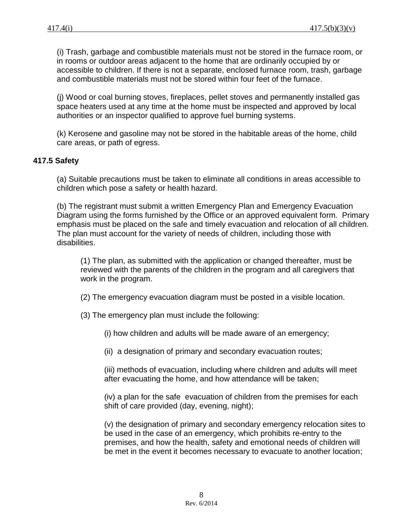(i) Trash, garbage and combustible materials must not be stored in the furnace room, or in rooms or outdoor areas adjacent to the home that are ordinarily occupied by or accessible to children. If there is not a separate, enclosed furnace room, trash, garbage and combustible materials must not be stored within four feet of the furnace.

(j) Wood or coal burning stoves, fireplaces, pellet stoves and permanently installed gas space heaters used at any time at the home must be inspected and approved by local authorities or an inspector qualified to approve fuel burning systems.

(k) Kerosene and gasoline may not be stored in the habitable areas of the home, child care areas, or path of egress.

### **417.5 Safety**

(a) Suitable precautions must be taken to eliminate all conditions in areas accessible to children which pose a safety or health hazard.

(b) The registrant must submit a written Emergency Plan and Emergency Evacuation Diagram using the forms furnished by the Office or an approved equivalent form. Primary emphasis must be placed on the safe and timely evacuation and relocation of all children. The plan must account for the variety of needs of children, including those with disabilities.

(1) The plan, as submitted with the application or changed thereafter, must be reviewed with the parents of the children in the program and all caregivers that work in the program.

(2) The emergency evacuation diagram must be posted in a visible location.

(3) The emergency plan must include the following:

(i) how children and adults will be made aware of an emergency;

(ii) a designation of primary and secondary evacuation routes;

(iii) methods of evacuation, including where children and adults will meet after evacuating the home, and how attendance will be taken;

(iv) a plan for the safe evacuation of children from the premises for each shift of care provided (day, evening, night);

(v) the designation of primary and secondary emergency relocation sites to be used in the case of an emergency, which prohibits re-entry to the premises, and how the health, safety and emotional needs of children will be met in the event it becomes necessary to evacuate to another location;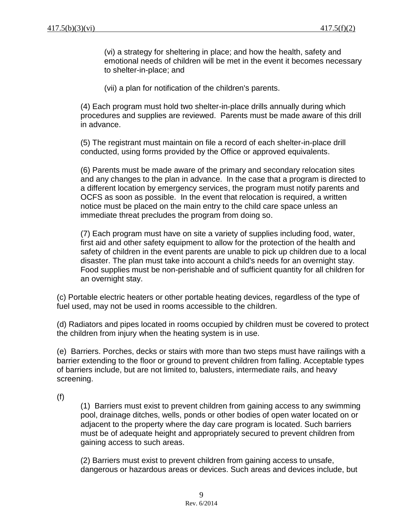(vi) a strategy for sheltering in place; and how the health, safety and emotional needs of children will be met in the event it becomes necessary to shelter-in-place; and

(vii) a plan for notification of the children's parents.

(4) Each program must hold two shelter-in-place drills annually during which procedures and supplies are reviewed. Parents must be made aware of this drill in advance.

(5) The registrant must maintain on file a record of each shelter-in-place drill conducted, using forms provided by the Office or approved equivalents.

(6) Parents must be made aware of the primary and secondary relocation sites and any changes to the plan in advance. In the case that a program is directed to a different location by emergency services, the program must notify parents and OCFS as soon as possible. In the event that relocation is required, a written notice must be placed on the main entry to the child care space unless an immediate threat precludes the program from doing so.

(7) Each program must have on site a variety of supplies including food, water, first aid and other safety equipment to allow for the protection of the health and safety of children in the event parents are unable to pick up children due to a local disaster. The plan must take into account a child's needs for an overnight stay. Food supplies must be non-perishable and of sufficient quantity for all children for an overnight stay.

(c) Portable electric heaters or other portable heating devices, regardless of the type of fuel used, may not be used in rooms accessible to the children.

(d) Radiators and pipes located in rooms occupied by children must be covered to protect the children from injury when the heating system is in use.

(e) Barriers. Porches, decks or stairs with more than two steps must have railings with a barrier extending to the floor or ground to prevent children from falling. Acceptable types of barriers include, but are not limited to, balusters, intermediate rails, and heavy screening.

(f)

(1) Barriers must exist to prevent children from gaining access to any swimming pool, drainage ditches, wells, ponds or other bodies of open water located on or adjacent to the property where the day care program is located. Such barriers must be of adequate height and appropriately secured to prevent children from gaining access to such areas.

(2) Barriers must exist to prevent children from gaining access to unsafe, dangerous or hazardous areas or devices. Such areas and devices include, but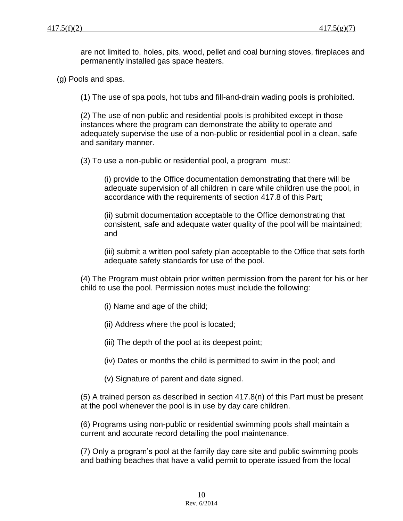are not limited to, holes, pits, wood, pellet and coal burning stoves, fireplaces and permanently installed gas space heaters.

(g) Pools and spas.

(1) The use of spa pools, hot tubs and fill-and-drain wading pools is prohibited.

(2) The use of non-public and residential pools is prohibited except in those instances where the program can demonstrate the ability to operate and adequately supervise the use of a non-public or residential pool in a clean, safe and sanitary manner.

(3) To use a non-public or residential pool, a program must:

(i) provide to the Office documentation demonstrating that there will be adequate supervision of all children in care while children use the pool, in accordance with the requirements of section 417.8 of this Part;

(ii) submit documentation acceptable to the Office demonstrating that consistent, safe and adequate water quality of the pool will be maintained; and

(iii) submit a written pool safety plan acceptable to the Office that sets forth adequate safety standards for use of the pool.

(4) The Program must obtain prior written permission from the parent for his or her child to use the pool. Permission notes must include the following:

- (i) Name and age of the child;
- (ii) Address where the pool is located;
- (iii) The depth of the pool at its deepest point;
- (iv) Dates or months the child is permitted to swim in the pool; and
- (v) Signature of parent and date signed.

(5) A trained person as described in section 417.8(n) of this Part must be present at the pool whenever the pool is in use by day care children.

(6) Programs using non-public or residential swimming pools shall maintain a current and accurate record detailing the pool maintenance.

(7) Only a program's pool at the family day care site and public swimming pools and bathing beaches that have a valid permit to operate issued from the local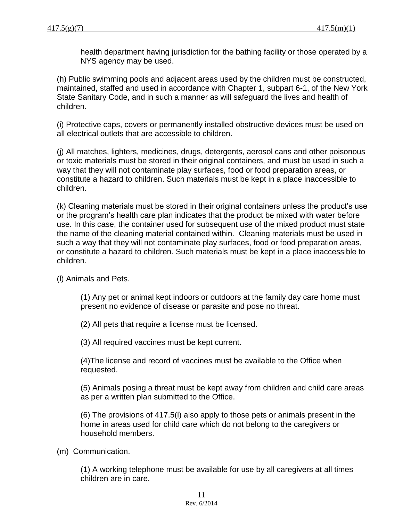health department having jurisdiction for the bathing facility or those operated by a NYS agency may be used.

(h) Public swimming pools and adjacent areas used by the children must be constructed, maintained, staffed and used in accordance with Chapter 1, subpart 6-1, of the New York State Sanitary Code, and in such a manner as will safeguard the lives and health of children.

(i) Protective caps, covers or permanently installed obstructive devices must be used on all electrical outlets that are accessible to children.

(j) All matches, lighters, medicines, drugs, detergents, aerosol cans and other poisonous or toxic materials must be stored in their original containers, and must be used in such a way that they will not contaminate play surfaces, food or food preparation areas, or constitute a hazard to children. Such materials must be kept in a place inaccessible to children.

(k) Cleaning materials must be stored in their original containers unless the product's use or the program's health care plan indicates that the product be mixed with water before use. In this case, the container used for subsequent use of the mixed product must state the name of the cleaning material contained within. Cleaning materials must be used in such a way that they will not contaminate play surfaces, food or food preparation areas, or constitute a hazard to children. Such materials must be kept in a place inaccessible to children.

(l) Animals and Pets.

(1) Any pet or animal kept indoors or outdoors at the family day care home must present no evidence of disease or parasite and pose no threat.

(2) All pets that require a license must be licensed.

(3) All required vaccines must be kept current.

(4)The license and record of vaccines must be available to the Office when requested.

(5) Animals posing a threat must be kept away from children and child care areas as per a written plan submitted to the Office.

(6) The provisions of 417.5(l) also apply to those pets or animals present in the home in areas used for child care which do not belong to the caregivers or household members.

(m) Communication.

(1) A working telephone must be available for use by all caregivers at all times children are in care.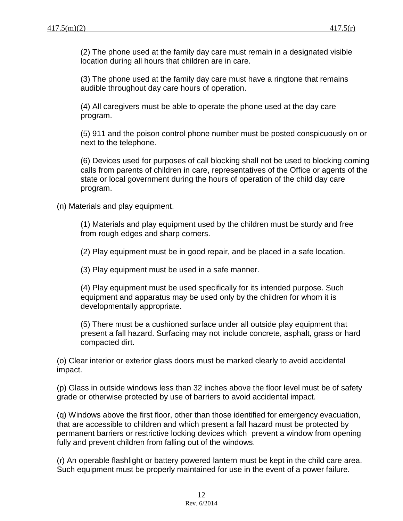(2) The phone used at the family day care must remain in a designated visible location during all hours that children are in care.

(3) The phone used at the family day care must have a ringtone that remains audible throughout day care hours of operation.

(4) All caregivers must be able to operate the phone used at the day care program.

(5) 911 and the poison control phone number must be posted conspicuously on or next to the telephone.

(6) Devices used for purposes of call blocking shall not be used to blocking coming calls from parents of children in care, representatives of the Office or agents of the state or local government during the hours of operation of the child day care program.

(n) Materials and play equipment.

(1) Materials and play equipment used by the children must be sturdy and free from rough edges and sharp corners.

(2) Play equipment must be in good repair, and be placed in a safe location.

(3) Play equipment must be used in a safe manner.

(4) Play equipment must be used specifically for its intended purpose. Such equipment and apparatus may be used only by the children for whom it is developmentally appropriate.

(5) There must be a cushioned surface under all outside play equipment that present a fall hazard. Surfacing may not include concrete, asphalt, grass or hard compacted dirt.

(o) Clear interior or exterior glass doors must be marked clearly to avoid accidental impact.

(p) Glass in outside windows less than 32 inches above the floor level must be of safety grade or otherwise protected by use of barriers to avoid accidental impact.

(q) Windows above the first floor, other than those identified for emergency evacuation, that are accessible to children and which present a fall hazard must be protected by permanent barriers or restrictive locking devices which prevent a window from opening fully and prevent children from falling out of the windows.

(r) An operable flashlight or battery powered lantern must be kept in the child care area. Such equipment must be properly maintained for use in the event of a power failure.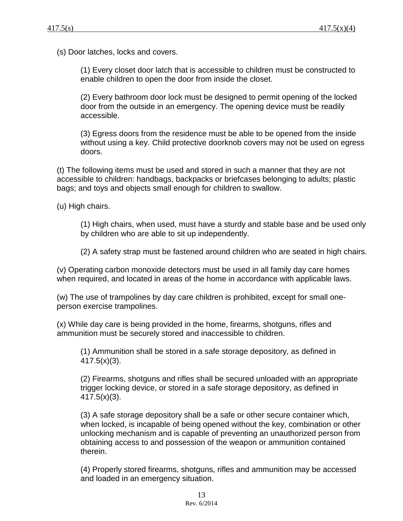(s) Door latches, locks and covers.

(1) Every closet door latch that is accessible to children must be constructed to enable children to open the door from inside the closet.

(2) Every bathroom door lock must be designed to permit opening of the locked door from the outside in an emergency. The opening device must be readily accessible.

(3) Egress doors from the residence must be able to be opened from the inside without using a key. Child protective doorknob covers may not be used on egress doors.

(t) The following items must be used and stored in such a manner that they are not accessible to children: handbags, backpacks or briefcases belonging to adults; plastic bags; and toys and objects small enough for children to swallow.

(u) High chairs.

(1) High chairs, when used, must have a sturdy and stable base and be used only by children who are able to sit up independently.

(2) A safety strap must be fastened around children who are seated in high chairs.

(v) Operating carbon monoxide detectors must be used in all family day care homes when required, and located in areas of the home in accordance with applicable laws.

(w) The use of trampolines by day care children is prohibited, except for small oneperson exercise trampolines.

(x) While day care is being provided in the home, firearms, shotguns, rifles and ammunition must be securely stored and inaccessible to children.

(1) Ammunition shall be stored in a safe storage depository, as defined in  $417.5(x)(3)$ .

(2) Firearms, shotguns and rifles shall be secured unloaded with an appropriate trigger locking device, or stored in a safe storage depository, as defined in 417.5(x)(3).

(3) A safe storage depository shall be a safe or other secure container which, when locked, is incapable of being opened without the key, combination or other unlocking mechanism and is capable of preventing an unauthorized person from obtaining access to and possession of the weapon or ammunition contained therein.

(4) Properly stored firearms, shotguns, rifles and ammunition may be accessed and loaded in an emergency situation.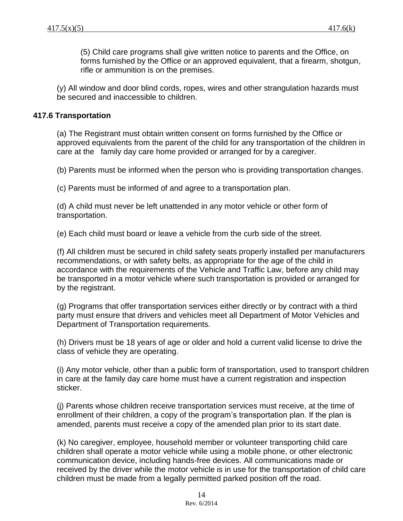(5) Child care programs shall give written notice to parents and the Office, on forms furnished by the Office or an approved equivalent, that a firearm, shotgun, rifle or ammunition is on the premises.

(y) All window and door blind cords, ropes, wires and other strangulation hazards must be secured and inaccessible to children.

### **417.6 Transportation**

(a) The Registrant must obtain written consent on forms furnished by the Office or approved equivalents from the parent of the child for any transportation of the children in care at the family day care home provided or arranged for by a caregiver.

(b) Parents must be informed when the person who is providing transportation changes.

(c) Parents must be informed of and agree to a transportation plan.

(d) A child must never be left unattended in any motor vehicle or other form of transportation.

(e) Each child must board or leave a vehicle from the curb side of the street.

(f) All children must be secured in child safety seats properly installed per manufacturers recommendations, or with safety belts, as appropriate for the age of the child in accordance with the requirements of the Vehicle and Traffic Law, before any child may be transported in a motor vehicle where such transportation is provided or arranged for by the registrant.

(g) Programs that offer transportation services either directly or by contract with a third party must ensure that drivers and vehicles meet all Department of Motor Vehicles and Department of Transportation requirements.

(h) Drivers must be 18 years of age or older and hold a current valid license to drive the class of vehicle they are operating.

(i) Any motor vehicle, other than a public form of transportation, used to transport children in care at the family day care home must have a current registration and inspection sticker.

(j) Parents whose children receive transportation services must receive, at the time of enrollment of their children, a copy of the program's transportation plan. If the plan is amended, parents must receive a copy of the amended plan prior to its start date.

(k) No caregiver, employee, household member or volunteer transporting child care children shall operate a motor vehicle while using a mobile phone, or other electronic communication device, including hands-free devices. All communications made or received by the driver while the motor vehicle is in use for the transportation of child care children must be made from a legally permitted parked position off the road.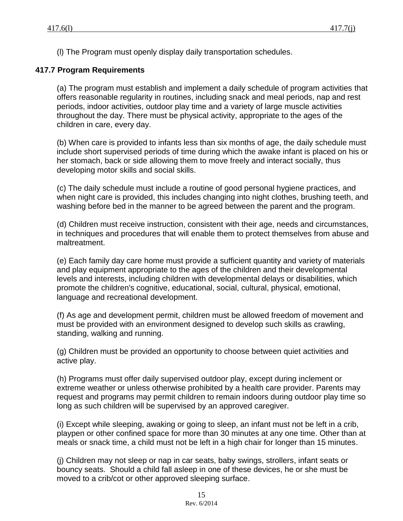(l) The Program must openly display daily transportation schedules.

# **417.7 Program Requirements**

(a) The program must establish and implement a daily schedule of program activities that offers reasonable regularity in routines, including snack and meal periods, nap and rest periods, indoor activities, outdoor play time and a variety of large muscle activities throughout the day. There must be physical activity, appropriate to the ages of the children in care, every day.

(b) When care is provided to infants less than six months of age, the daily schedule must include short supervised periods of time during which the awake infant is placed on his or her stomach, back or side allowing them to move freely and interact socially, thus developing motor skills and social skills.

(c) The daily schedule must include a routine of good personal hygiene practices, and when night care is provided, this includes changing into night clothes, brushing teeth, and washing before bed in the manner to be agreed between the parent and the program.

(d) Children must receive instruction, consistent with their age, needs and circumstances, in techniques and procedures that will enable them to protect themselves from abuse and maltreatment.

(e) Each family day care home must provide a sufficient quantity and variety of materials and play equipment appropriate to the ages of the children and their developmental levels and interests, including children with developmental delays or disabilities, which promote the children's cognitive, educational, social, cultural, physical, emotional, language and recreational development.

(f) As age and development permit, children must be allowed freedom of movement and must be provided with an environment designed to develop such skills as crawling, standing, walking and running.

(g) Children must be provided an opportunity to choose between quiet activities and active play.

(h) Programs must offer daily supervised outdoor play, except during inclement or extreme weather or unless otherwise prohibited by a health care provider. Parents may request and programs may permit children to remain indoors during outdoor play time so long as such children will be supervised by an approved caregiver.

(i) Except while sleeping, awaking or going to sleep, an infant must not be left in a crib, playpen or other confined space for more than 30 minutes at any one time. Other than at meals or snack time, a child must not be left in a high chair for longer than 15 minutes.

(j) Children may not sleep or nap in car seats, baby swings, strollers, infant seats or bouncy seats. Should a child fall asleep in one of these devices, he or she must be moved to a crib/cot or other approved sleeping surface.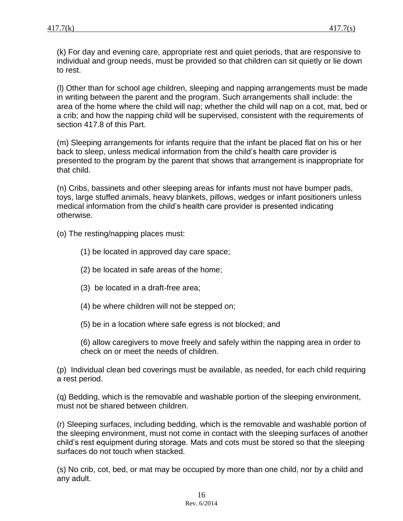(k) For day and evening care, appropriate rest and quiet periods, that are responsive to individual and group needs, must be provided so that children can sit quietly or lie down to rest.

(l) Other than for school age children, sleeping and napping arrangements must be made in writing between the parent and the program. Such arrangements shall include: the area of the home where the child will nap; whether the child will nap on a cot, mat, bed or a crib; and how the napping child will be supervised, consistent with the requirements of section 417.8 of this Part.

(m) Sleeping arrangements for infants require that the infant be placed flat on his or her back to sleep, unless medical information from the child's health care provider is presented to the program by the parent that shows that arrangement is inappropriate for that child.

(n) Cribs, bassinets and other sleeping areas for infants must not have bumper pads, toys, large stuffed animals, heavy blankets, pillows, wedges or infant positioners unless medical information from the child's health care provider is presented indicating otherwise.

(o) The resting/napping places must:

- (1) be located in approved day care space;
- (2) be located in safe areas of the home;
- (3) be located in a draft-free area;
- (4) be where children will not be stepped on;
- (5) be in a location where safe egress is not blocked; and

(6) allow caregivers to move freely and safely within the napping area in order to check on or meet the needs of children.

(p) Individual clean bed coverings must be available, as needed, for each child requiring a rest period.

(q) Bedding, which is the removable and washable portion of the sleeping environment, must not be shared between children.

(r) Sleeping surfaces, including bedding, which is the removable and washable portion of the sleeping environment, must not come in contact with the sleeping surfaces of another child's rest equipment during storage. Mats and cots must be stored so that the sleeping surfaces do not touch when stacked.

(s) No crib, cot, bed, or mat may be occupied by more than one child, nor by a child and any adult.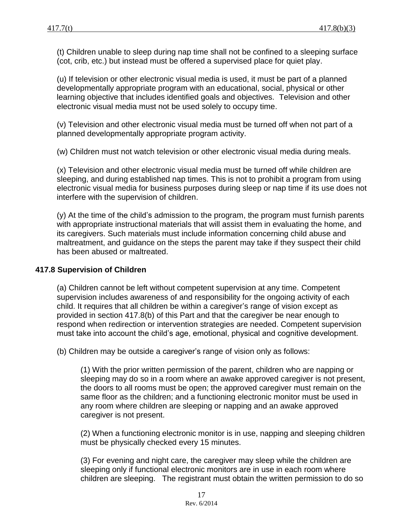(t) Children unable to sleep during nap time shall not be confined to a sleeping surface (cot, crib, etc.) but instead must be offered a supervised place for quiet play.

(u) If television or other electronic visual media is used, it must be part of a planned developmentally appropriate program with an educational, social, physical or other learning objective that includes identified goals and objectives. Television and other electronic visual media must not be used solely to occupy time.

(v) Television and other electronic visual media must be turned off when not part of a planned developmentally appropriate program activity.

(w) Children must not watch television or other electronic visual media during meals.

(x) Television and other electronic visual media must be turned off while children are sleeping, and during established nap times. This is not to prohibit a program from using electronic visual media for business purposes during sleep or nap time if its use does not interfere with the supervision of children.

(y) At the time of the child's admission to the program, the program must furnish parents with appropriate instructional materials that will assist them in evaluating the home, and its caregivers. Such materials must include information concerning child abuse and maltreatment, and guidance on the steps the parent may take if they suspect their child has been abused or maltreated.

## **417.8 Supervision of Children**

(a) Children cannot be left without competent supervision at any time. Competent supervision includes awareness of and responsibility for the ongoing activity of each child. It requires that all children be within a caregiver's range of vision except as provided in section 417.8(b) of this Part and that the caregiver be near enough to respond when redirection or intervention strategies are needed. Competent supervision must take into account the child's age, emotional, physical and cognitive development.

(b) Children may be outside a caregiver's range of vision only as follows:

(1) With the prior written permission of the parent, children who are napping or sleeping may do so in a room where an awake approved caregiver is not present, the doors to all rooms must be open; the approved caregiver must remain on the same floor as the children; and a functioning electronic monitor must be used in any room where children are sleeping or napping and an awake approved caregiver is not present.

(2) When a functioning electronic monitor is in use, napping and sleeping children must be physically checked every 15 minutes.

(3) For evening and night care, the caregiver may sleep while the children are sleeping only if functional electronic monitors are in use in each room where children are sleeping. The registrant must obtain the written permission to do so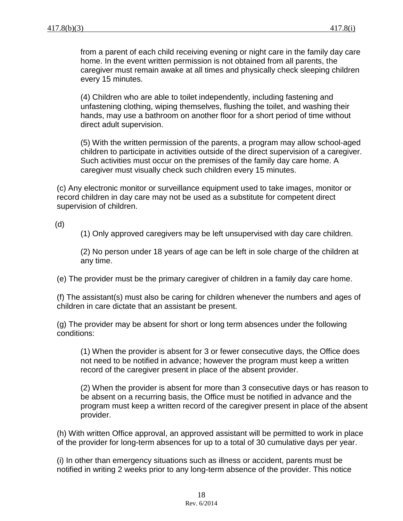from a parent of each child receiving evening or night care in the family day care home. In the event written permission is not obtained from all parents, the caregiver must remain awake at all times and physically check sleeping children every 15 minutes.

(4) Children who are able to toilet independently, including fastening and unfastening clothing, wiping themselves, flushing the toilet, and washing their hands, may use a bathroom on another floor for a short period of time without direct adult supervision.

(5) With the written permission of the parents, a program may allow school-aged children to participate in activities outside of the direct supervision of a caregiver. Such activities must occur on the premises of the family day care home. A caregiver must visually check such children every 15 minutes.

(c) Any electronic monitor or surveillance equipment used to take images, monitor or record children in day care may not be used as a substitute for competent direct supervision of children.

(d)

(1) Only approved caregivers may be left unsupervised with day care children.

(2) No person under 18 years of age can be left in sole charge of the children at any time.

(e) The provider must be the primary caregiver of children in a family day care home.

(f) The assistant(s) must also be caring for children whenever the numbers and ages of children in care dictate that an assistant be present.

(g) The provider may be absent for short or long term absences under the following conditions:

(1) When the provider is absent for 3 or fewer consecutive days, the Office does not need to be notified in advance; however the program must keep a written record of the caregiver present in place of the absent provider.

(2) When the provider is absent for more than 3 consecutive days or has reason to be absent on a recurring basis, the Office must be notified in advance and the program must keep a written record of the caregiver present in place of the absent provider.

(h) With written Office approval, an approved assistant will be permitted to work in place of the provider for long-term absences for up to a total of 30 cumulative days per year.

(i) In other than emergency situations such as illness or accident, parents must be notified in writing 2 weeks prior to any long-term absence of the provider. This notice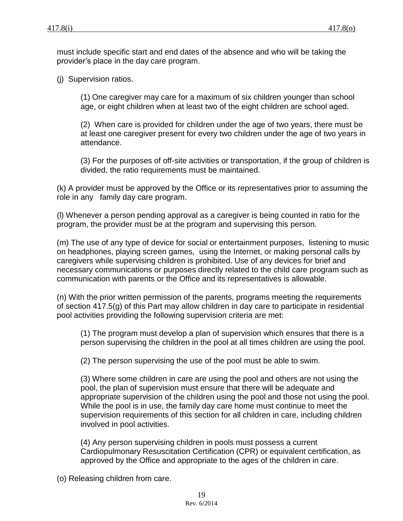must include specific start and end dates of the absence and who will be taking the provider's place in the day care program.

(j) Supervision ratios.

(1) One caregiver may care for a maximum of six children younger than school age, or eight children when at least two of the eight children are school aged.

(2) When care is provided for children under the age of two years, there must be at least one caregiver present for every two children under the age of two years in attendance.

(3) For the purposes of off-site activities or transportation, if the group of children is divided, the ratio requirements must be maintained.

(k) A provider must be approved by the Office or its representatives prior to assuming the role in any family day care program.

(l) Whenever a person pending approval as a caregiver is being counted in ratio for the program, the provider must be at the program and supervising this person.

(m) The use of any type of device for social or entertainment purposes, listening to music on headphones, playing screen games, using the Internet, or making personal calls by caregivers while supervising children is prohibited. Use of any devices for brief and necessary communications or purposes directly related to the child care program such as communication with parents or the Office and its representatives is allowable.

(n) With the prior written permission of the parents, programs meeting the requirements of section 417.5(g) of this Part may allow children in day care to participate in residential pool activities providing the following supervision criteria are met:

(1) The program must develop a plan of supervision which ensures that there is a person supervising the children in the pool at all times children are using the pool.

(2) The person supervising the use of the pool must be able to swim.

(3) Where some children in care are using the pool and others are not using the pool, the plan of supervision must ensure that there will be adequate and appropriate supervision of the children using the pool and those not using the pool. While the pool is in use, the family day care home must continue to meet the supervision requirements of this section for all children in care, including children involved in pool activities.

(4) Any person supervising children in pools must possess a current Cardiopulmonary Resuscitation Certification (CPR) or equivalent certification, as approved by the Office and appropriate to the ages of the children in care.

(o) Releasing children from care.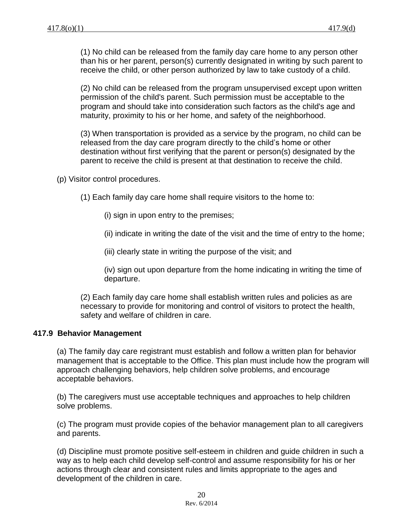(1) No child can be released from the family day care home to any person other than his or her parent, person(s) currently designated in writing by such parent to receive the child, or other person authorized by law to take custody of a child.

(2) No child can be released from the program unsupervised except upon written permission of the child's parent. Such permission must be acceptable to the program and should take into consideration such factors as the child's age and maturity, proximity to his or her home, and safety of the neighborhood.

(3) When transportation is provided as a service by the program, no child can be released from the day care program directly to the child's home or other destination without first verifying that the parent or person(s) designated by the parent to receive the child is present at that destination to receive the child.

(p) Visitor control procedures.

(1) Each family day care home shall require visitors to the home to:

(i) sign in upon entry to the premises;

(ii) indicate in writing the date of the visit and the time of entry to the home;

(iii) clearly state in writing the purpose of the visit; and

(iv) sign out upon departure from the home indicating in writing the time of departure.

(2) Each family day care home shall establish written rules and policies as are necessary to provide for monitoring and control of visitors to protect the health, safety and welfare of children in care.

### **417.9 Behavior Management**

(a) The family day care registrant must establish and follow a written plan for behavior management that is acceptable to the Office. This plan must include how the program will approach challenging behaviors, help children solve problems, and encourage acceptable behaviors.

(b) The caregivers must use acceptable techniques and approaches to help children solve problems.

(c) The program must provide copies of the behavior management plan to all caregivers and parents.

(d) Discipline must promote positive self-esteem in children and guide children in such a way as to help each child develop self-control and assume responsibility for his or her actions through clear and consistent rules and limits appropriate to the ages and development of the children in care.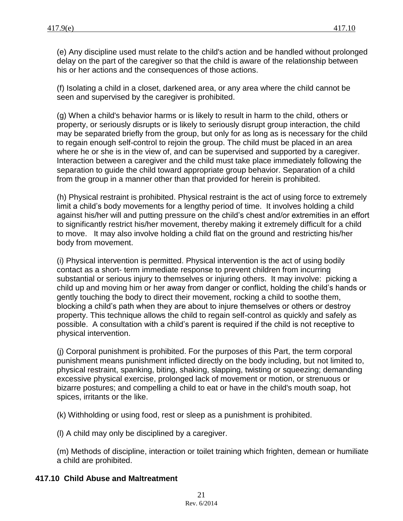(e) Any discipline used must relate to the child's action and be handled without prolonged delay on the part of the caregiver so that the child is aware of the relationship between his or her actions and the consequences of those actions.

(f) Isolating a child in a closet, darkened area, or any area where the child cannot be seen and supervised by the caregiver is prohibited.

(g) When a child's behavior harms or is likely to result in harm to the child, others or property, or seriously disrupts or is likely to seriously disrupt group interaction, the child may be separated briefly from the group, but only for as long as is necessary for the child to regain enough self-control to rejoin the group. The child must be placed in an area where he or she is in the view of, and can be supervised and supported by a caregiver. Interaction between a caregiver and the child must take place immediately following the separation to guide the child toward appropriate group behavior. Separation of a child from the group in a manner other than that provided for herein is prohibited.

(h) Physical restraint is prohibited. Physical restraint is the act of using force to extremely limit a child's body movements for a lengthy period of time. It involves holding a child against his/her will and putting pressure on the child's chest and/or extremities in an effort to significantly restrict his/her movement, thereby making it extremely difficult for a child to move. It may also involve holding a child flat on the ground and restricting his/her body from movement.

(i) Physical intervention is permitted. Physical intervention is the act of using bodily contact as a short- term immediate response to prevent children from incurring substantial or serious injury to themselves or injuring others. It may involve: picking a child up and moving him or her away from danger or conflict, holding the child's hands or gently touching the body to direct their movement, rocking a child to soothe them, blocking a child's path when they are about to injure themselves or others or destroy property. This technique allows the child to regain self-control as quickly and safely as possible. A consultation with a child's parent is required if the child is not receptive to physical intervention.

(j) Corporal punishment is prohibited. For the purposes of this Part, the term corporal punishment means punishment inflicted directly on the body including, but not limited to, physical restraint, spanking, biting, shaking, slapping, twisting or squeezing; demanding excessive physical exercise, prolonged lack of movement or motion, or strenuous or bizarre postures; and compelling a child to eat or have in the child's mouth soap, hot spices, irritants or the like.

(k) Withholding or using food, rest or sleep as a punishment is prohibited.

(l) A child may only be disciplined by a caregiver.

(m) Methods of discipline, interaction or toilet training which frighten, demean or humiliate a child are prohibited.

### **417.10 Child Abuse and Maltreatment**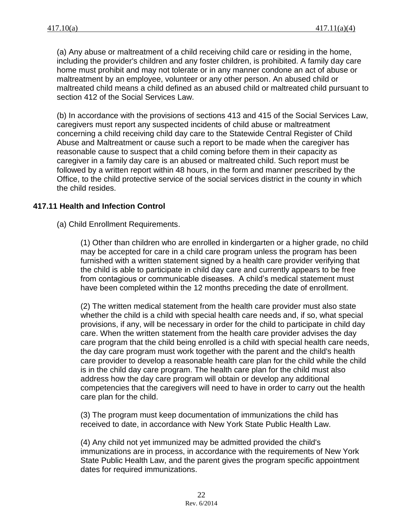(a) Any abuse or maltreatment of a child receiving child care or residing in the home, including the provider's children and any foster children, is prohibited. A family day care home must prohibit and may not tolerate or in any manner condone an act of abuse or maltreatment by an employee, volunteer or any other person. An abused child or maltreated child means a child defined as an abused child or maltreated child pursuant to section 412 of the Social Services Law.

(b) In accordance with the provisions of sections 413 and 415 of the Social Services Law, caregivers must report any suspected incidents of child abuse or maltreatment concerning a child receiving child day care to the Statewide Central Register of Child Abuse and Maltreatment or cause such a report to be made when the caregiver has reasonable cause to suspect that a child coming before them in their capacity as caregiver in a family day care is an abused or maltreated child. Such report must be followed by a written report within 48 hours, in the form and manner prescribed by the Office, to the child protective service of the social services district in the county in which the child resides.

### **417.11 Health and Infection Control**

(a) Child Enrollment Requirements.

(1) Other than children who are enrolled in kindergarten or a higher grade, no child may be accepted for care in a child care program unless the program has been furnished with a written statement signed by a health care provider verifying that the child is able to participate in child day care and currently appears to be free from contagious or communicable diseases. A child's medical statement must have been completed within the 12 months preceding the date of enrollment.

(2) The written medical statement from the health care provider must also state whether the child is a child with special health care needs and, if so, what special provisions, if any, will be necessary in order for the child to participate in child day care. When the written statement from the health care provider advises the day care program that the child being enrolled is a child with special health care needs, the day care program must work together with the parent and the child's health care provider to develop a reasonable health care plan for the child while the child is in the child day care program. The health care plan for the child must also address how the day care program will obtain or develop any additional competencies that the caregivers will need to have in order to carry out the health care plan for the child.

(3) The program must keep documentation of immunizations the child has received to date, in accordance with New York State Public Health Law.

(4) Any child not yet immunized may be admitted provided the child's immunizations are in process, in accordance with the requirements of New York State Public Health Law, and the parent gives the program specific appointment dates for required immunizations.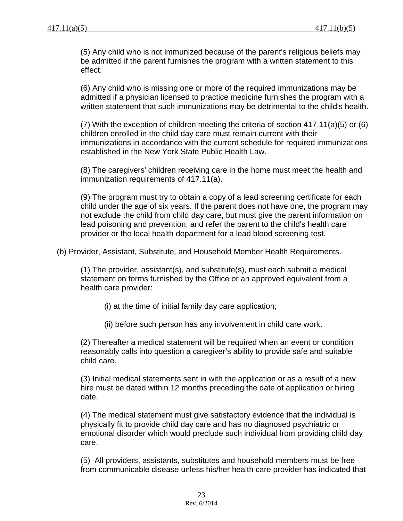(5) Any child who is not immunized because of the parent's religious beliefs may be admitted if the parent furnishes the program with a written statement to this effect.

(6) Any child who is missing one or more of the required immunizations may be admitted if a physician licensed to practice medicine furnishes the program with a written statement that such immunizations may be detrimental to the child's health.

(7) With the exception of children meeting the criteria of section 417.11(a)(5) or (6) children enrolled in the child day care must remain current with their immunizations in accordance with the current schedule for required immunizations established in the New York State Public Health Law.

(8) The caregivers' children receiving care in the home must meet the health and immunization requirements of 417.11(a).

(9) The program must try to obtain a copy of a lead screening certificate for each child under the age of six years. If the parent does not have one, the program may not exclude the child from child day care, but must give the parent information on lead poisoning and prevention, and refer the parent to the child's health care provider or the local health department for a lead blood screening test.

(b) Provider, Assistant, Substitute, and Household Member Health Requirements.

(1) The provider, assistant(s), and substitute(s), must each submit a medical statement on forms furnished by the Office or an approved equivalent from a health care provider:

(i) at the time of initial family day care application;

(ii) before such person has any involvement in child care work.

(2) Thereafter a medical statement will be required when an event or condition reasonably calls into question a caregiver's ability to provide safe and suitable child care.

(3) Initial medical statements sent in with the application or as a result of a new hire must be dated within 12 months preceding the date of application or hiring date.

(4) The medical statement must give satisfactory evidence that the individual is physically fit to provide child day care and has no diagnosed psychiatric or emotional disorder which would preclude such individual from providing child day care.

(5) All providers, assistants, substitutes and household members must be free from communicable disease unless his/her health care provider has indicated that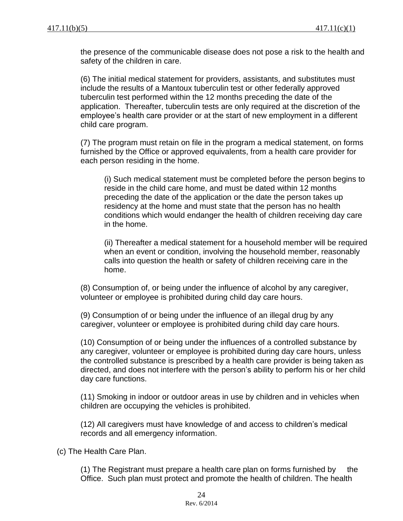the presence of the communicable disease does not pose a risk to the health and safety of the children in care.

(6) The initial medical statement for providers, assistants, and substitutes must include the results of a Mantoux tuberculin test or other federally approved tuberculin test performed within the 12 months preceding the date of the application. Thereafter, tuberculin tests are only required at the discretion of the employee's health care provider or at the start of new employment in a different child care program.

(7) The program must retain on file in the program a medical statement, on forms furnished by the Office or approved equivalents, from a health care provider for each person residing in the home.

(i) Such medical statement must be completed before the person begins to reside in the child care home, and must be dated within 12 months preceding the date of the application or the date the person takes up residency at the home and must state that the person has no health conditions which would endanger the health of children receiving day care in the home.

(ii) Thereafter a medical statement for a household member will be required when an event or condition, involving the household member, reasonably calls into question the health or safety of children receiving care in the home.

(8) Consumption of, or being under the influence of alcohol by any caregiver, volunteer or employee is prohibited during child day care hours.

(9) Consumption of or being under the influence of an illegal drug by any caregiver, volunteer or employee is prohibited during child day care hours.

(10) Consumption of or being under the influences of a controlled substance by any caregiver, volunteer or employee is prohibited during day care hours, unless the controlled substance is prescribed by a health care provider is being taken as directed, and does not interfere with the person's ability to perform his or her child day care functions.

(11) Smoking in indoor or outdoor areas in use by children and in vehicles when children are occupying the vehicles is prohibited.

(12) All caregivers must have knowledge of and access to children's medical records and all emergency information.

(c) The Health Care Plan.

(1) The Registrant must prepare a health care plan on forms furnished by the Office. Such plan must protect and promote the health of children. The health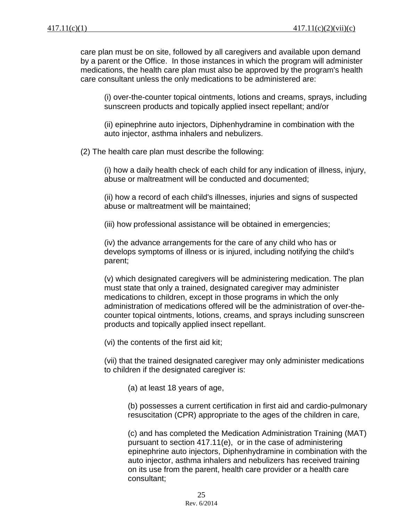care plan must be on site, followed by all caregivers and available upon demand by a parent or the Office. In those instances in which the program will administer medications, the health care plan must also be approved by the program's health care consultant unless the only medications to be administered are:

(i) over-the-counter topical ointments, lotions and creams, sprays, including sunscreen products and topically applied insect repellant; and/or

(ii) epinephrine auto injectors, Diphenhydramine in combination with the auto injector, asthma inhalers and nebulizers.

(2) The health care plan must describe the following:

(i) how a daily health check of each child for any indication of illness, injury, abuse or maltreatment will be conducted and documented;

(ii) how a record of each child's illnesses, injuries and signs of suspected abuse or maltreatment will be maintained;

(iii) how professional assistance will be obtained in emergencies;

(iv) the advance arrangements for the care of any child who has or develops symptoms of illness or is injured, including notifying the child's parent;

(v) which designated caregivers will be administering medication. The plan must state that only a trained, designated caregiver may administer medications to children, except in those programs in which the only administration of medications offered will be the administration of over-thecounter topical ointments, lotions, creams, and sprays including sunscreen products and topically applied insect repellant.

(vi) the contents of the first aid kit;

(vii) that the trained designated caregiver may only administer medications to children if the designated caregiver is:

(a) at least 18 years of age,

(b) possesses a current certification in first aid and cardio-pulmonary resuscitation (CPR) appropriate to the ages of the children in care,

(c) and has completed the Medication Administration Training (MAT) pursuant to section 417.11(e), or in the case of administering epinephrine auto injectors, Diphenhydramine in combination with the auto injector, asthma inhalers and nebulizers has received training on its use from the parent, health care provider or a health care consultant;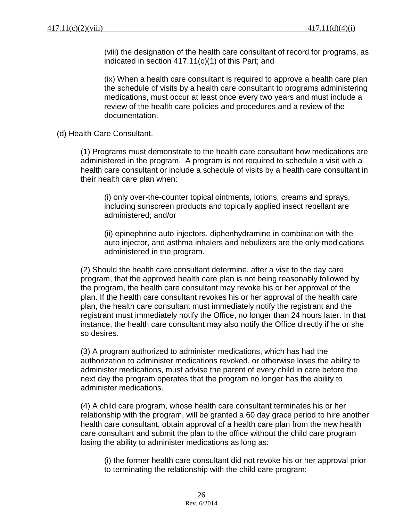(viii) the designation of the health care consultant of record for programs, as indicated in section 417.11(c)(1) of this Part; and

(ix) When a health care consultant is required to approve a health care plan the schedule of visits by a health care consultant to programs administering medications, must occur at least once every two years and must include a review of the health care policies and procedures and a review of the documentation.

(d) Health Care Consultant.

(1) Programs must demonstrate to the health care consultant how medications are administered in the program. A program is not required to schedule a visit with a health care consultant or include a schedule of visits by a health care consultant in their health care plan when:

(i) only over-the-counter topical ointments, lotions, creams and sprays, including sunscreen products and topically applied insect repellant are administered; and/or

(ii) epinephrine auto injectors, diphenhydramine in combination with the auto injector, and asthma inhalers and nebulizers are the only medications administered in the program.

(2) Should the health care consultant determine, after a visit to the day care program, that the approved health care plan is not being reasonably followed by the program, the health care consultant may revoke his or her approval of the plan. If the health care consultant revokes his or her approval of the health care plan, the health care consultant must immediately notify the registrant and the registrant must immediately notify the Office, no longer than 24 hours later. In that instance, the health care consultant may also notify the Office directly if he or she so desires.

(3) A program authorized to administer medications, which has had the authorization to administer medications revoked, or otherwise loses the ability to administer medications, must advise the parent of every child in care before the next day the program operates that the program no longer has the ability to administer medications.

(4) A child care program, whose health care consultant terminates his or her relationship with the program, will be granted a 60 day grace period to hire another health care consultant, obtain approval of a health care plan from the new health care consultant and submit the plan to the office without the child care program losing the ability to administer medications as long as:

(i) the former health care consultant did not revoke his or her approval prior to terminating the relationship with the child care program;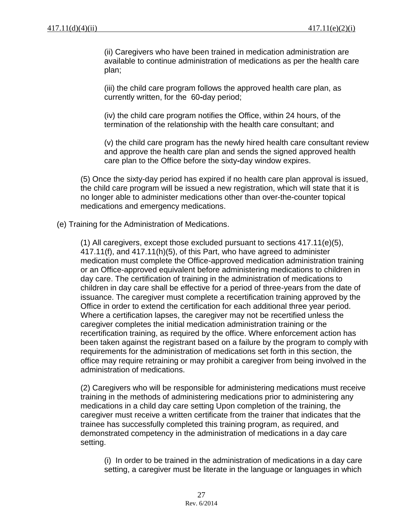(ii) Caregivers who have been trained in medication administration are available to continue administration of medications as per the health care plan;

(iii) the child care program follows the approved health care plan, as currently written, for the 60**-**day period;

(iv) the child care program notifies the Office, within 24 hours, of the termination of the relationship with the health care consultant; and

(v) the child care program has the newly hired health care consultant review and approve the health care plan and sends the signed approved health care plan to the Office before the sixty**-**day window expires.

(5) Once the sixty-day period has expired if no health care plan approval is issued, the child care program will be issued a new registration, which will state that it is no longer able to administer medications other than over-the-counter topical medications and emergency medications.

(e) Training for the Administration of Medications.

(1) All caregivers, except those excluded pursuant to sections 417.11(e)(5), 417.11(f), and 417.11(h)(5), of this Part, who have agreed to administer medication must complete the Office-approved medication administration training or an Office-approved equivalent before administering medications to children in day care. The certification of training in the administration of medications to children in day care shall be effective for a period of three-years from the date of issuance. The caregiver must complete a recertification training approved by the Office in order to extend the certification for each additional three year period. Where a certification lapses, the caregiver may not be recertified unless the caregiver completes the initial medication administration training or the recertification training, as required by the office. Where enforcement action has been taken against the registrant based on a failure by the program to comply with requirements for the administration of medications set forth in this section, the office may require retraining or may prohibit a caregiver from being involved in the administration of medications.

(2) Caregivers who will be responsible for administering medications must receive training in the methods of administering medications prior to administering any medications in a child day care setting Upon completion of the training, the caregiver must receive a written certificate from the trainer that indicates that the trainee has successfully completed this training program, as required, and demonstrated competency in the administration of medications in a day care setting.

(i) In order to be trained in the administration of medications in a day care setting, a caregiver must be literate in the language or languages in which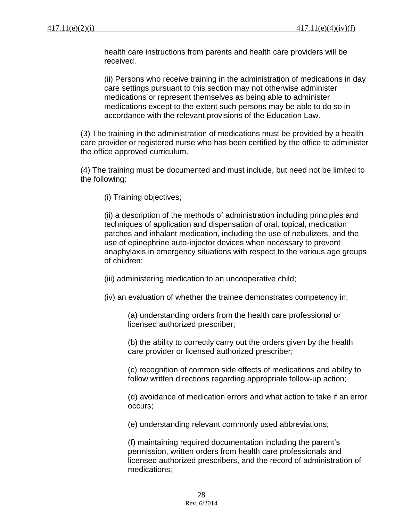health care instructions from parents and health care providers will be received.

(ii) Persons who receive training in the administration of medications in day care settings pursuant to this section may not otherwise administer medications or represent themselves as being able to administer medications except to the extent such persons may be able to do so in accordance with the relevant provisions of the Education Law.

(3) The training in the administration of medications must be provided by a health care provider or registered nurse who has been certified by the office to administer the office approved curriculum.

(4) The training must be documented and must include, but need not be limited to the following:

(i) Training objectives;

(ii) a description of the methods of administration including principles and techniques of application and dispensation of oral, topical, medication patches and inhalant medication, including the use of nebulizers, and the use of epinephrine auto-injector devices when necessary to prevent anaphylaxis in emergency situations with respect to the various age groups of children;

(iii) administering medication to an uncooperative child;

(iv) an evaluation of whether the trainee demonstrates competency in:

(a) understanding orders from the health care professional or licensed authorized prescriber;

(b) the ability to correctly carry out the orders given by the health care provider or licensed authorized prescriber;

(c) recognition of common side effects of medications and ability to follow written directions regarding appropriate follow-up action;

(d) avoidance of medication errors and what action to take if an error occurs;

(e) understanding relevant commonly used abbreviations;

(f) maintaining required documentation including the parent's permission, written orders from health care professionals and licensed authorized prescribers, and the record of administration of medications;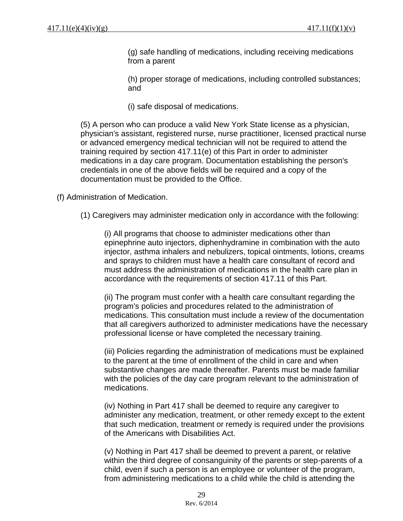(g) safe handling of medications, including receiving medications from a parent

(h) proper storage of medications, including controlled substances; and

(i) safe disposal of medications.

(5) A person who can produce a valid New York State license as a physician, physician's assistant, registered nurse, nurse practitioner, licensed practical nurse or advanced emergency medical technician will not be required to attend the training required by section 417.11(e) of this Part in order to administer medications in a day care program. Documentation establishing the person's credentials in one of the above fields will be required and a copy of the documentation must be provided to the Office.

(f) Administration of Medication.

(1) Caregivers may administer medication only in accordance with the following:

(i) All programs that choose to administer medications other than epinephrine auto injectors, diphenhydramine in combination with the auto injector, asthma inhalers and nebulizers, topical ointments, lotions, creams and sprays to children must have a health care consultant of record and must address the administration of medications in the health care plan in accordance with the requirements of section 417.11 of this Part.

(ii) The program must confer with a health care consultant regarding the program's policies and procedures related to the administration of medications. This consultation must include a review of the documentation that all caregivers authorized to administer medications have the necessary professional license or have completed the necessary training.

(iii) Policies regarding the administration of medications must be explained to the parent at the time of enrollment of the child in care and when substantive changes are made thereafter. Parents must be made familiar with the policies of the day care program relevant to the administration of medications.

(iv) Nothing in Part 417 shall be deemed to require any caregiver to administer any medication, treatment, or other remedy except to the extent that such medication, treatment or remedy is required under the provisions of the Americans with Disabilities Act.

(v) Nothing in Part 417 shall be deemed to prevent a parent, or relative within the third degree of consanguinity of the parents or step-parents of a child, even if such a person is an employee or volunteer of the program, from administering medications to a child while the child is attending the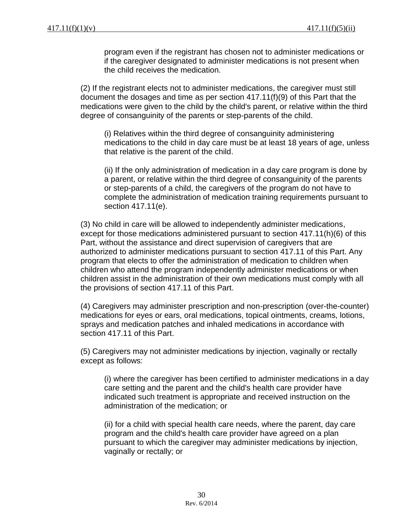program even if the registrant has chosen not to administer medications or if the caregiver designated to administer medications is not present when the child receives the medication.

(2) If the registrant elects not to administer medications, the caregiver must still document the dosages and time as per section 417.11(f)(9) of this Part that the medications were given to the child by the child's parent, or relative within the third degree of consanguinity of the parents or step-parents of the child.

(i) Relatives within the third degree of consanguinity administering medications to the child in day care must be at least 18 years of age, unless that relative is the parent of the child.

(ii) If the only administration of medication in a day care program is done by a parent, or relative within the third degree of consanguinity of the parents or step-parents of a child, the caregivers of the program do not have to complete the administration of medication training requirements pursuant to section 417.11(e).

(3) No child in care will be allowed to independently administer medications, except for those medications administered pursuant to section 417.11(h)(6) of this Part, without the assistance and direct supervision of caregivers that are authorized to administer medications pursuant to section 417.11 of this Part. Any program that elects to offer the administration of medication to children when children who attend the program independently administer medications or when children assist in the administration of their own medications must comply with all the provisions of section 417.11 of this Part.

(4) Caregivers may administer prescription and non-prescription (over-the-counter) medications for eyes or ears, oral medications, topical ointments, creams, lotions, sprays and medication patches and inhaled medications in accordance with section 417.11 of this Part.

(5) Caregivers may not administer medications by injection, vaginally or rectally except as follows:

(i) where the caregiver has been certified to administer medications in a day care setting and the parent and the child's health care provider have indicated such treatment is appropriate and received instruction on the administration of the medication; or

(ii) for a child with special health care needs, where the parent, day care program and the child's health care provider have agreed on a plan pursuant to which the caregiver may administer medications by injection, vaginally or rectally; or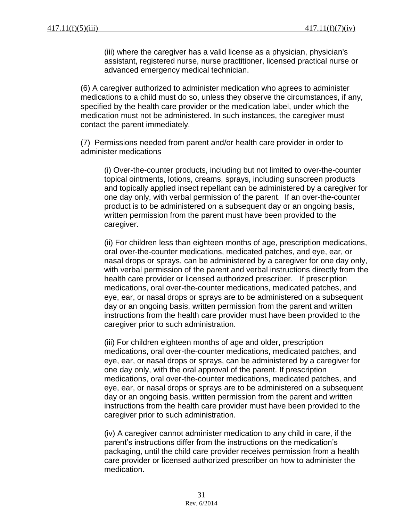(iii) where the caregiver has a valid license as a physician, physician's assistant, registered nurse, nurse practitioner, licensed practical nurse or advanced emergency medical technician.

(6) A caregiver authorized to administer medication who agrees to administer medications to a child must do so, unless they observe the circumstances, if any, specified by the health care provider or the medication label, under which the medication must not be administered. In such instances, the caregiver must contact the parent immediately.

(7) Permissions needed from parent and/or health care provider in order to administer medications

(i) Over-the-counter products, including but not limited to over-the-counter topical ointments, lotions, creams, sprays, including sunscreen products and topically applied insect repellant can be administered by a caregiver for one day only, with verbal permission of the parent. If an over-the-counter product is to be administered on a subsequent day or an ongoing basis, written permission from the parent must have been provided to the caregiver.

(ii) For children less than eighteen months of age, prescription medications, oral over-the-counter medications, medicated patches, and eye, ear, or nasal drops or sprays, can be administered by a caregiver for one day only, with verbal permission of the parent and verbal instructions directly from the health care provider or licensed authorized prescriber. If prescription medications, oral over-the-counter medications, medicated patches, and eye, ear, or nasal drops or sprays are to be administered on a subsequent day or an ongoing basis, written permission from the parent and written instructions from the health care provider must have been provided to the caregiver prior to such administration.

(iii) For children eighteen months of age and older, prescription medications, oral over-the-counter medications, medicated patches, and eye, ear, or nasal drops or sprays, can be administered by a caregiver for one day only, with the oral approval of the parent. If prescription medications, oral over-the-counter medications, medicated patches, and eye, ear, or nasal drops or sprays are to be administered on a subsequent day or an ongoing basis, written permission from the parent and written instructions from the health care provider must have been provided to the caregiver prior to such administration.

(iv) A caregiver cannot administer medication to any child in care, if the parent's instructions differ from the instructions on the medication's packaging, until the child care provider receives permission from a health care provider or licensed authorized prescriber on how to administer the medication.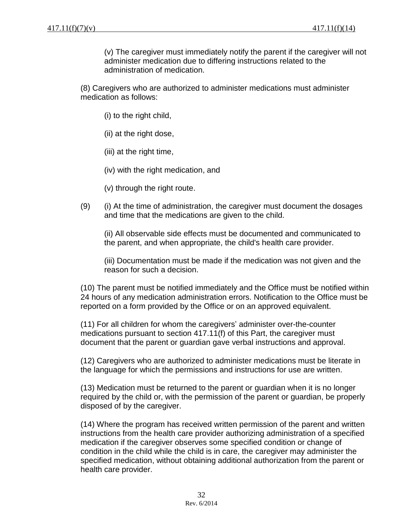(v) The caregiver must immediately notify the parent if the caregiver will not administer medication due to differing instructions related to the administration of medication.

(8) Caregivers who are authorized to administer medications must administer medication as follows:

- (i) to the right child,
- (ii) at the right dose,
- (iii) at the right time,
- (iv) with the right medication, and
- (v) through the right route.
- (9) (i) At the time of administration, the caregiver must document the dosages and time that the medications are given to the child.

(ii) All observable side effects must be documented and communicated to the parent, and when appropriate, the child's health care provider.

(iii) Documentation must be made if the medication was not given and the reason for such a decision.

(10) The parent must be notified immediately and the Office must be notified within 24 hours of any medication administration errors. Notification to the Office must be reported on a form provided by the Office or on an approved equivalent.

(11) For all children for whom the caregivers' administer over-the-counter medications pursuant to section 417.11(f) of this Part, the caregiver must document that the parent or guardian gave verbal instructions and approval.

(12) Caregivers who are authorized to administer medications must be literate in the language for which the permissions and instructions for use are written.

(13) Medication must be returned to the parent or guardian when it is no longer required by the child or, with the permission of the parent or guardian, be properly disposed of by the caregiver.

(14) Where the program has received written permission of the parent and written instructions from the health care provider authorizing administration of a specified medication if the caregiver observes some specified condition or change of condition in the child while the child is in care, the caregiver may administer the specified medication, without obtaining additional authorization from the parent or health care provider.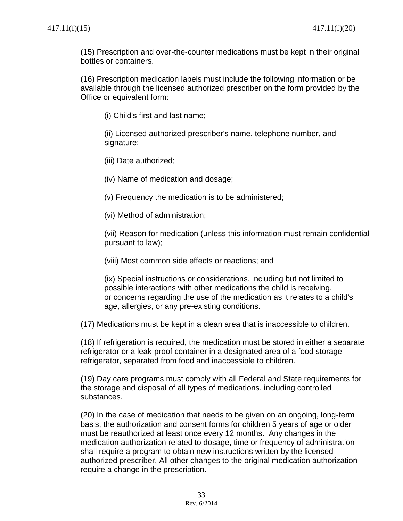(15) Prescription and over-the-counter medications must be kept in their original bottles or containers.

(16) Prescription medication labels must include the following information or be available through the licensed authorized prescriber on the form provided by the Office or equivalent form:

(i) Child's first and last name;

(ii) Licensed authorized prescriber's name, telephone number, and signature;

(iii) Date authorized;

(iv) Name of medication and dosage;

(v) Frequency the medication is to be administered;

(vi) Method of administration;

(vii) Reason for medication (unless this information must remain confidential pursuant to law);

(viii) Most common side effects or reactions; and

(ix) Special instructions or considerations, including but not limited to possible interactions with other medications the child is receiving, or concerns regarding the use of the medication as it relates to a child's age, allergies, or any pre-existing conditions.

(17) Medications must be kept in a clean area that is inaccessible to children.

(18) If refrigeration is required, the medication must be stored in either a separate refrigerator or a leak-proof container in a designated area of a food storage refrigerator, separated from food and inaccessible to children.

(19) Day care programs must comply with all Federal and State requirements for the storage and disposal of all types of medications, including controlled substances.

(20) In the case of medication that needs to be given on an ongoing, long-term basis, the authorization and consent forms for children 5 years of age or older must be reauthorized at least once every 12 months. Any changes in the medication authorization related to dosage, time or frequency of administration shall require a program to obtain new instructions written by the licensed authorized prescriber. All other changes to the original medication authorization require a change in the prescription.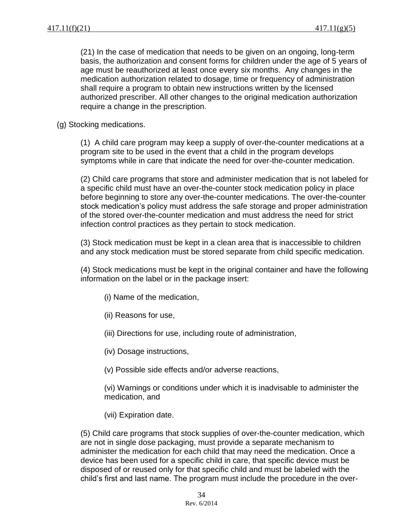(21) In the case of medication that needs to be given on an ongoing, long-term basis, the authorization and consent forms for children under the age of 5 years of age must be reauthorized at least once every six months. Any changes in the medication authorization related to dosage, time or frequency of administration shall require a program to obtain new instructions written by the licensed authorized prescriber. All other changes to the original medication authorization require a change in the prescription.

(g) Stocking medications.

(1) A child care program may keep a supply of over-the-counter medications at a program site to be used in the event that a child in the program develops symptoms while in care that indicate the need for over-the-counter medication.

(2) Child care programs that store and administer medication that is not labeled for a specific child must have an over-the-counter stock medication policy in place before beginning to store any over-the-counter medications. The over-the-counter stock medication's policy must address the safe storage and proper administration of the stored over-the-counter medication and must address the need for strict infection control practices as they pertain to stock medication.

(3) Stock medication must be kept in a clean area that is inaccessible to children and any stock medication must be stored separate from child specific medication.

(4) Stock medications must be kept in the original container and have the following information on the label or in the package insert:

- (i) Name of the medication,
- (ii) Reasons for use,
- (iii) Directions for use, including route of administration,
- (iv) Dosage instructions,
- (v) Possible side effects and/or adverse reactions,

(vi) Warnings or conditions under which it is inadvisable to administer the medication, and

(vii) Expiration date.

(5) Child care programs that stock supplies of over-the-counter medication, which are not in single dose packaging, must provide a separate mechanism to administer the medication for each child that may need the medication. Once a device has been used for a specific child in care, that specific device must be disposed of or reused only for that specific child and must be labeled with the child's first and last name. The program must include the procedure in the over-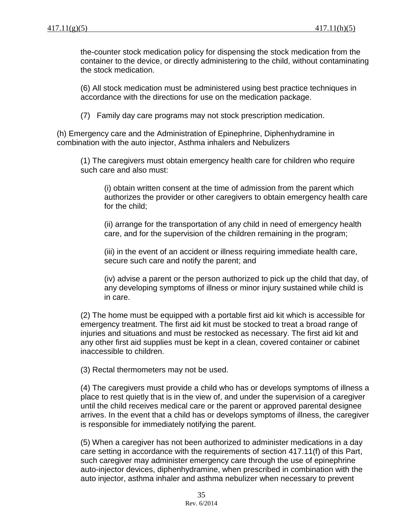the-counter stock medication policy for dispensing the stock medication from the container to the device, or directly administering to the child, without contaminating the stock medication.

(6) All stock medication must be administered using best practice techniques in accordance with the directions for use on the medication package.

(7) Family day care programs may not stock prescription medication.

(h) Emergency care and the Administration of Epinephrine, Diphenhydramine in combination with the auto injector, Asthma inhalers and Nebulizers

(1) The caregivers must obtain emergency health care for children who require such care and also must:

(i) obtain written consent at the time of admission from the parent which authorizes the provider or other caregivers to obtain emergency health care for the child;

(ii) arrange for the transportation of any child in need of emergency health care, and for the supervision of the children remaining in the program;

(iii) in the event of an accident or illness requiring immediate health care, secure such care and notify the parent; and

(iv) advise a parent or the person authorized to pick up the child that day, of any developing symptoms of illness or minor injury sustained while child is in care.

(2) The home must be equipped with a portable first aid kit which is accessible for emergency treatment. The first aid kit must be stocked to treat a broad range of injuries and situations and must be restocked as necessary. The first aid kit and any other first aid supplies must be kept in a clean, covered container or cabinet inaccessible to children.

(3) Rectal thermometers may not be used.

(4) The caregivers must provide a child who has or develops symptoms of illness a place to rest quietly that is in the view of, and under the supervision of a caregiver until the child receives medical care or the parent or approved parental designee arrives. In the event that a child has or develops symptoms of illness, the caregiver is responsible for immediately notifying the parent.

(5) When a caregiver has not been authorized to administer medications in a day care setting in accordance with the requirements of section 417.11(f) of this Part, such caregiver may administer emergency care through the use of epinephrine auto-injector devices, diphenhydramine, when prescribed in combination with the auto injector, asthma inhaler and asthma nebulizer when necessary to prevent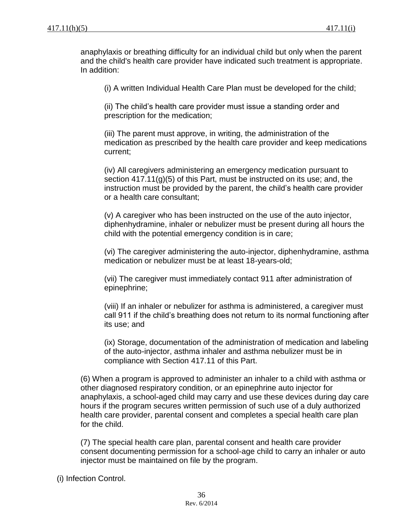anaphylaxis or breathing difficulty for an individual child but only when the parent and the child's health care provider have indicated such treatment is appropriate. In addition:

(i) A written Individual Health Care Plan must be developed for the child;

(ii) The child's health care provider must issue a standing order and prescription for the medication;

(iii) The parent must approve, in writing, the administration of the medication as prescribed by the health care provider and keep medications current;

(iv) All caregivers administering an emergency medication pursuant to section 417.11(g)(5) of this Part, must be instructed on its use; and, the instruction must be provided by the parent, the child's health care provider or a health care consultant;

(v) A caregiver who has been instructed on the use of the auto injector, diphenhydramine, inhaler or nebulizer must be present during all hours the child with the potential emergency condition is in care;

(vi) The caregiver administering the auto-injector, diphenhydramine, asthma medication or nebulizer must be at least 18-years-old;

(vii) The caregiver must immediately contact 911 after administration of epinephrine;

(viii) If an inhaler or nebulizer for asthma is administered, a caregiver must call 911 if the child's breathing does not return to its normal functioning after its use; and

(ix) Storage, documentation of the administration of medication and labeling of the auto-injector, asthma inhaler and asthma nebulizer must be in compliance with Section 417.11 of this Part.

(6) When a program is approved to administer an inhaler to a child with asthma or other diagnosed respiratory condition, or an epinephrine auto injector for anaphylaxis, a school-aged child may carry and use these devices during day care hours if the program secures written permission of such use of a duly authorized health care provider, parental consent and completes a special health care plan for the child.

(7) The special health care plan, parental consent and health care provider consent documenting permission for a school-age child to carry an inhaler or auto injector must be maintained on file by the program.

(i) Infection Control.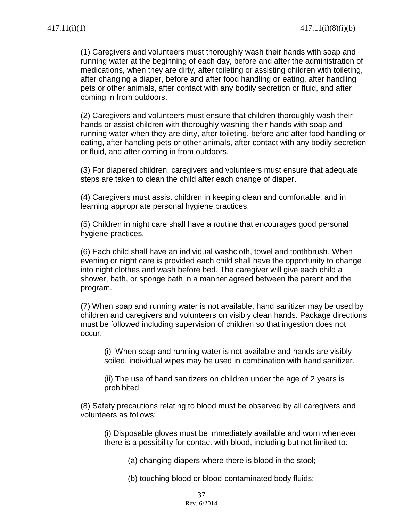(1) Caregivers and volunteers must thoroughly wash their hands with soap and running water at the beginning of each day, before and after the administration of medications, when they are dirty, after toileting or assisting children with toileting, after changing a diaper, before and after food handling or eating, after handling pets or other animals, after contact with any bodily secretion or fluid, and after coming in from outdoors.

(2) Caregivers and volunteers must ensure that children thoroughly wash their hands or assist children with thoroughly washing their hands with soap and running water when they are dirty, after toileting, before and after food handling or eating, after handling pets or other animals, after contact with any bodily secretion or fluid, and after coming in from outdoors.

(3) For diapered children, caregivers and volunteers must ensure that adequate steps are taken to clean the child after each change of diaper.

(4) Caregivers must assist children in keeping clean and comfortable, and in learning appropriate personal hygiene practices.

(5) Children in night care shall have a routine that encourages good personal hygiene practices.

(6) Each child shall have an individual washcloth, towel and toothbrush. When evening or night care is provided each child shall have the opportunity to change into night clothes and wash before bed. The caregiver will give each child a shower, bath, or sponge bath in a manner agreed between the parent and the program.

(7) When soap and running water is not available, hand sanitizer may be used by children and caregivers and volunteers on visibly clean hands. Package directions must be followed including supervision of children so that ingestion does not occur.

(i) When soap and running water is not available and hands are visibly soiled, individual wipes may be used in combination with hand sanitizer.

(ii) The use of hand sanitizers on children under the age of 2 years is prohibited.

(8) Safety precautions relating to blood must be observed by all caregivers and volunteers as follows:

(i) Disposable gloves must be immediately available and worn whenever there is a possibility for contact with blood, including but not limited to:

(a) changing diapers where there is blood in the stool;

(b) touching blood or blood-contaminated body fluids;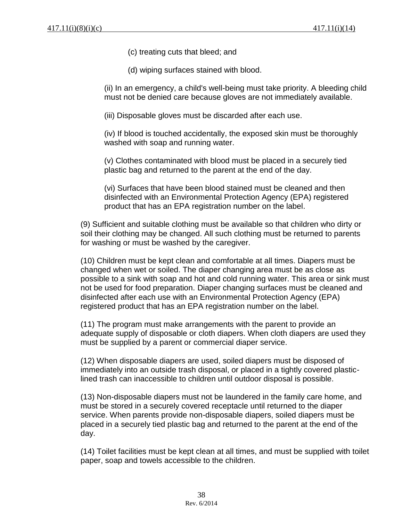(c) treating cuts that bleed; and

(d) wiping surfaces stained with blood.

(ii) In an emergency, a child's well-being must take priority. A bleeding child must not be denied care because gloves are not immediately available.

(iii) Disposable gloves must be discarded after each use.

(iv) If blood is touched accidentally, the exposed skin must be thoroughly washed with soap and running water.

(v) Clothes contaminated with blood must be placed in a securely tied plastic bag and returned to the parent at the end of the day.

(vi) Surfaces that have been blood stained must be cleaned and then disinfected with an Environmental Protection Agency (EPA) registered product that has an EPA registration number on the label.

(9) Sufficient and suitable clothing must be available so that children who dirty or soil their clothing may be changed. All such clothing must be returned to parents for washing or must be washed by the caregiver.

(10) Children must be kept clean and comfortable at all times. Diapers must be changed when wet or soiled. The diaper changing area must be as close as possible to a sink with soap and hot and cold running water. This area or sink must not be used for food preparation. Diaper changing surfaces must be cleaned and disinfected after each use with an Environmental Protection Agency (EPA) registered product that has an EPA registration number on the label.

(11) The program must make arrangements with the parent to provide an adequate supply of disposable or cloth diapers. When cloth diapers are used they must be supplied by a parent or commercial diaper service.

(12) When disposable diapers are used, soiled diapers must be disposed of immediately into an outside trash disposal, or placed in a tightly covered plasticlined trash can inaccessible to children until outdoor disposal is possible.

(13) Non-disposable diapers must not be laundered in the family care home, and must be stored in a securely covered receptacle until returned to the diaper service. When parents provide non-disposable diapers, soiled diapers must be placed in a securely tied plastic bag and returned to the parent at the end of the day.

(14) Toilet facilities must be kept clean at all times, and must be supplied with toilet paper, soap and towels accessible to the children.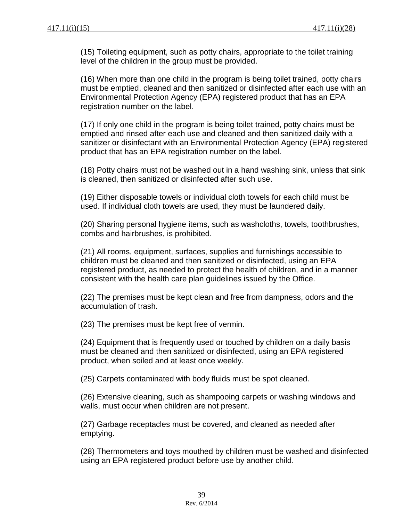(15) Toileting equipment, such as potty chairs, appropriate to the toilet training level of the children in the group must be provided.

(16) When more than one child in the program is being toilet trained, potty chairs must be emptied, cleaned and then sanitized or disinfected after each use with an Environmental Protection Agency (EPA) registered product that has an EPA registration number on the label.

(17) If only one child in the program is being toilet trained, potty chairs must be emptied and rinsed after each use and cleaned and then sanitized daily with a sanitizer or disinfectant with an Environmental Protection Agency (EPA) registered product that has an EPA registration number on the label.

(18) Potty chairs must not be washed out in a hand washing sink, unless that sink is cleaned, then sanitized or disinfected after such use.

(19) Either disposable towels or individual cloth towels for each child must be used. If individual cloth towels are used, they must be laundered daily.

(20) Sharing personal hygiene items, such as washcloths, towels, toothbrushes, combs and hairbrushes, is prohibited.

(21) All rooms, equipment, surfaces, supplies and furnishings accessible to children must be cleaned and then sanitized or disinfected, using an EPA registered product, as needed to protect the health of children, and in a manner consistent with the health care plan guidelines issued by the Office.

(22) The premises must be kept clean and free from dampness, odors and the accumulation of trash.

(23) The premises must be kept free of vermin.

(24) Equipment that is frequently used or touched by children on a daily basis must be cleaned and then sanitized or disinfected, using an EPA registered product, when soiled and at least once weekly.

(25) Carpets contaminated with body fluids must be spot cleaned.

(26) Extensive cleaning, such as shampooing carpets or washing windows and walls, must occur when children are not present.

(27) Garbage receptacles must be covered, and cleaned as needed after emptying.

(28) Thermometers and toys mouthed by children must be washed and disinfected using an EPA registered product before use by another child.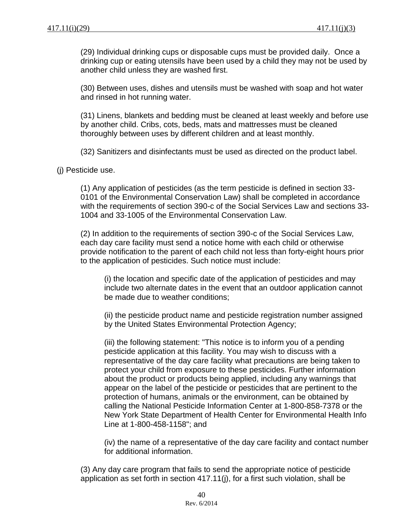(29) Individual drinking cups or disposable cups must be provided daily. Once a drinking cup or eating utensils have been used by a child they may not be used by another child unless they are washed first.

(30) Between uses, dishes and utensils must be washed with soap and hot water and rinsed in hot running water.

(31) Linens, blankets and bedding must be cleaned at least weekly and before use by another child. Cribs, cots, beds, mats and mattresses must be cleaned thoroughly between uses by different children and at least monthly.

(32) Sanitizers and disinfectants must be used as directed on the product label.

(j) Pesticide use.

(1) Any application of pesticides (as the term pesticide is defined in section 33- 0101 of the Environmental Conservation Law) shall be completed in accordance with the requirements of section 390-c of the Social Services Law and sections 33- 1004 and 33-1005 of the Environmental Conservation Law.

(2) In addition to the requirements of section 390-c of the Social Services Law, each day care facility must send a notice home with each child or otherwise provide notification to the parent of each child not less than forty-eight hours prior to the application of pesticides. Such notice must include:

(i) the location and specific date of the application of pesticides and may include two alternate dates in the event that an outdoor application cannot be made due to weather conditions;

(ii) the pesticide product name and pesticide registration number assigned by the United States Environmental Protection Agency;

(iii) the following statement: "This notice is to inform you of a pending pesticide application at this facility. You may wish to discuss with a representative of the day care facility what precautions are being taken to protect your child from exposure to these pesticides. Further information about the product or products being applied, including any warnings that appear on the label of the pesticide or pesticides that are pertinent to the protection of humans, animals or the environment, can be obtained by calling the National Pesticide Information Center at 1-800-858-7378 or the New York State Department of Health Center for Environmental Health Info Line at 1-800-458-1158"; and

(iv) the name of a representative of the day care facility and contact number for additional information.

(3) Any day care program that fails to send the appropriate notice of pesticide application as set forth in section 417.11(j), for a first such violation, shall be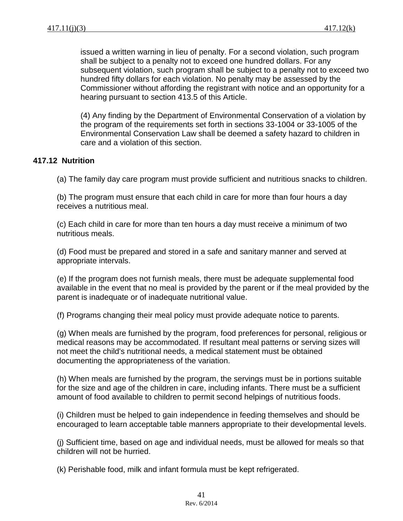issued a written warning in lieu of penalty. For a second violation, such program shall be subject to a penalty not to exceed one hundred dollars. For any subsequent violation, such program shall be subject to a penalty not to exceed two hundred fifty dollars for each violation. No penalty may be assessed by the Commissioner without affording the registrant with notice and an opportunity for a hearing pursuant to section 413.5 of this Article.

(4) Any finding by the Department of Environmental Conservation of a violation by the program of the requirements set forth in sections 33-1004 or 33-1005 of the Environmental Conservation Law shall be deemed a safety hazard to children in care and a violation of this section.

#### **417.12 Nutrition**

(a) The family day care program must provide sufficient and nutritious snacks to children.

(b) The program must ensure that each child in care for more than four hours a day receives a nutritious meal.

(c) Each child in care for more than ten hours a day must receive a minimum of two nutritious meals.

(d) Food must be prepared and stored in a safe and sanitary manner and served at appropriate intervals.

(e) If the program does not furnish meals, there must be adequate supplemental food available in the event that no meal is provided by the parent or if the meal provided by the parent is inadequate or of inadequate nutritional value.

(f) Programs changing their meal policy must provide adequate notice to parents.

(g) When meals are furnished by the program, food preferences for personal, religious or medical reasons may be accommodated. If resultant meal patterns or serving sizes will not meet the child's nutritional needs, a medical statement must be obtained documenting the appropriateness of the variation.

(h) When meals are furnished by the program, the servings must be in portions suitable for the size and age of the children in care, including infants. There must be a sufficient amount of food available to children to permit second helpings of nutritious foods.

(i) Children must be helped to gain independence in feeding themselves and should be encouraged to learn acceptable table manners appropriate to their developmental levels.

(j) Sufficient time, based on age and individual needs, must be allowed for meals so that children will not be hurried.

(k) Perishable food, milk and infant formula must be kept refrigerated.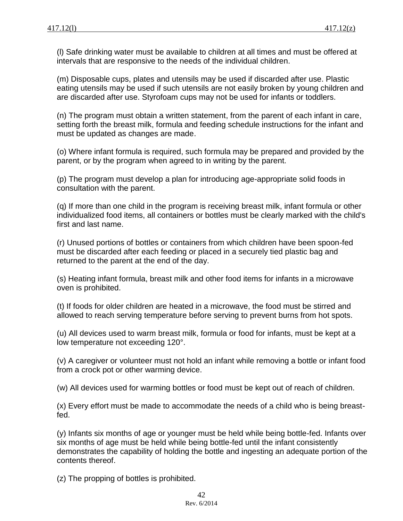(l) Safe drinking water must be available to children at all times and must be offered at intervals that are responsive to the needs of the individual children.

(m) Disposable cups, plates and utensils may be used if discarded after use. Plastic eating utensils may be used if such utensils are not easily broken by young children and are discarded after use. Styrofoam cups may not be used for infants or toddlers.

(n) The program must obtain a written statement, from the parent of each infant in care, setting forth the breast milk, formula and feeding schedule instructions for the infant and must be updated as changes are made.

(o) Where infant formula is required, such formula may be prepared and provided by the parent, or by the program when agreed to in writing by the parent.

(p) The program must develop a plan for introducing age-appropriate solid foods in consultation with the parent.

(q) If more than one child in the program is receiving breast milk, infant formula or other individualized food items, all containers or bottles must be clearly marked with the child's first and last name.

(r) Unused portions of bottles or containers from which children have been spoon-fed must be discarded after each feeding or placed in a securely tied plastic bag and returned to the parent at the end of the day.

(s) Heating infant formula, breast milk and other food items for infants in a microwave oven is prohibited.

(t) If foods for older children are heated in a microwave, the food must be stirred and allowed to reach serving temperature before serving to prevent burns from hot spots.

(u) All devices used to warm breast milk, formula or food for infants, must be kept at a low temperature not exceeding 120°.

(v) A caregiver or volunteer must not hold an infant while removing a bottle or infant food from a crock pot or other warming device.

(w) All devices used for warming bottles or food must be kept out of reach of children.

(x) Every effort must be made to accommodate the needs of a child who is being breastfed.

(y) Infants six months of age or younger must be held while being bottle-fed. Infants over six months of age must be held while being bottle-fed until the infant consistently demonstrates the capability of holding the bottle and ingesting an adequate portion of the contents thereof.

(z) The propping of bottles is prohibited.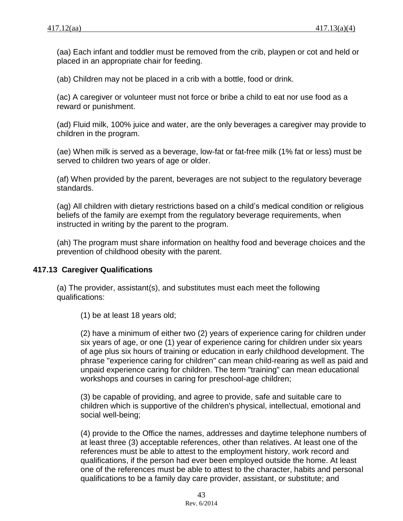(aa) Each infant and toddler must be removed from the crib, playpen or cot and held or placed in an appropriate chair for feeding.

(ab) Children may not be placed in a crib with a bottle, food or drink.

(ac) A caregiver or volunteer must not force or bribe a child to eat nor use food as a reward or punishment.

(ad) Fluid milk, 100% juice and water, are the only beverages a caregiver may provide to children in the program.

(ae) When milk is served as a beverage, low-fat or fat-free milk (1% fat or less) must be served to children two years of age or older.

(af) When provided by the parent, beverages are not subject to the regulatory beverage standards.

(ag) All children with dietary restrictions based on a child's medical condition or religious beliefs of the family are exempt from the regulatory beverage requirements, when instructed in writing by the parent to the program.

(ah) The program must share information on healthy food and beverage choices and the prevention of childhood obesity with the parent.

### **417.13 Caregiver Qualifications**

(a) The provider, assistant(s), and substitutes must each meet the following qualifications:

(1) be at least 18 years old;

(2) have a minimum of either two (2) years of experience caring for children under six years of age, or one (1) year of experience caring for children under six years of age plus six hours of training or education in early childhood development. The phrase "experience caring for children" can mean child-rearing as well as paid and unpaid experience caring for children. The term "training" can mean educational workshops and courses in caring for preschool-age children;

(3) be capable of providing, and agree to provide, safe and suitable care to children which is supportive of the children's physical, intellectual, emotional and social well-being;

(4) provide to the Office the names, addresses and daytime telephone numbers of at least three (3) acceptable references, other than relatives. At least one of the references must be able to attest to the employment history, work record and qualifications, if the person had ever been employed outside the home. At least one of the references must be able to attest to the character, habits and personal qualifications to be a family day care provider, assistant, or substitute; and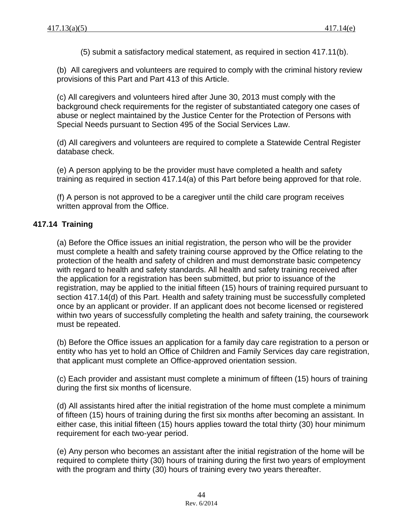(5) submit a satisfactory medical statement, as required in section 417.11(b).

(b) All caregivers and volunteers are required to comply with the criminal history review provisions of this Part and Part 413 of this Article.

(c) All caregivers and volunteers hired after June 30, 2013 must comply with the background check requirements for the register of substantiated category one cases of abuse or neglect maintained by the Justice Center for the Protection of Persons with Special Needs pursuant to Section 495 of the Social Services Law.

(d) All caregivers and volunteers are required to complete a Statewide Central Register database check.

(e) A person applying to be the provider must have completed a health and safety training as required in section 417.14(a) of this Part before being approved for that role.

(f) A person is not approved to be a caregiver until the child care program receives written approval from the Office.

### **417.14 Training**

(a) Before the Office issues an initial registration, the person who will be the provider must complete a health and safety training course approved by the Office relating to the protection of the health and safety of children and must demonstrate basic competency with regard to health and safety standards. All health and safety training received after the application for a registration has been submitted, but prior to issuance of the registration, may be applied to the initial fifteen (15) hours of training required pursuant to section 417.14(d) of this Part. Health and safety training must be successfully completed once by an applicant or provider. If an applicant does not become licensed or registered within two years of successfully completing the health and safety training, the coursework must be repeated.

(b) Before the Office issues an application for a family day care registration to a person or entity who has yet to hold an Office of Children and Family Services day care registration, that applicant must complete an Office-approved orientation session.

(c) Each provider and assistant must complete a minimum of fifteen (15) hours of training during the first six months of licensure.

(d) All assistants hired after the initial registration of the home must complete a minimum of fifteen (15) hours of training during the first six months after becoming an assistant. In either case, this initial fifteen (15) hours applies toward the total thirty (30) hour minimum requirement for each two-year period.

(e) Any person who becomes an assistant after the initial registration of the home will be required to complete thirty (30) hours of training during the first two years of employment with the program and thirty (30) hours of training every two years thereafter.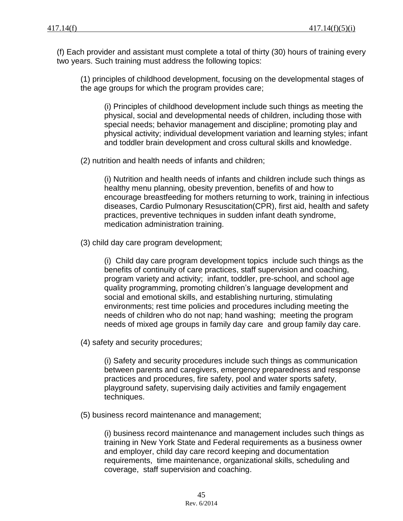(f) Each provider and assistant must complete a total of thirty (30) hours of training every two years. Such training must address the following topics:

(1) principles of childhood development, focusing on the developmental stages of the age groups for which the program provides care;

(i) Principles of childhood development include such things as meeting the physical, social and developmental needs of children, including those with special needs; behavior management and discipline; promoting play and physical activity; individual development variation and learning styles; infant and toddler brain development and cross cultural skills and knowledge.

(2) nutrition and health needs of infants and children;

(i) Nutrition and health needs of infants and children include such things as healthy menu planning, obesity prevention, benefits of and how to encourage breastfeeding for mothers returning to work, training in infectious diseases, Cardio Pulmonary Resuscitation(CPR), first aid, health and safety practices, preventive techniques in sudden infant death syndrome, medication administration training.

(3) child day care program development;

(i) Child day care program development topics include such things as the benefits of continuity of care practices, staff supervision and coaching, program variety and activity; infant, toddler, pre-school, and school age quality programming, promoting children's language development and social and emotional skills, and establishing nurturing, stimulating environments; rest time policies and procedures including meeting the needs of children who do not nap; hand washing; meeting the program needs of mixed age groups in family day care and group family day care.

(4) safety and security procedures;

(i) Safety and security procedures include such things as communication between parents and caregivers, emergency preparedness and response practices and procedures, fire safety, pool and water sports safety, playground safety, supervising daily activities and family engagement techniques.

(5) business record maintenance and management;

(i) business record maintenance and management includes such things as training in New York State and Federal requirements as a business owner and employer, child day care record keeping and documentation requirements, time maintenance, organizational skills, scheduling and coverage, staff supervision and coaching.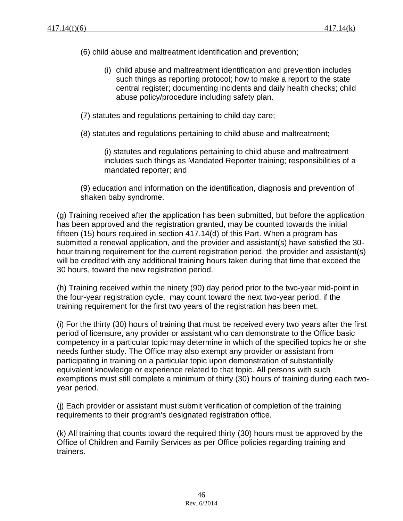- (6) child abuse and maltreatment identification and prevention;
	- (i) child abuse and maltreatment identification and prevention includes such things as reporting protocol; how to make a report to the state central register; documenting incidents and daily health checks; child abuse policy/procedure including safety plan.
- (7) statutes and regulations pertaining to child day care;
- (8) statutes and regulations pertaining to child abuse and maltreatment;

(i) statutes and regulations pertaining to child abuse and maltreatment includes such things as Mandated Reporter training; responsibilities of a mandated reporter; and

(9) education and information on the identification, diagnosis and prevention of shaken baby syndrome.

(g) Training received after the application has been submitted, but before the application has been approved and the registration granted, may be counted towards the initial fifteen (15) hours required in section 417.14(d) of this Part. When a program has submitted a renewal application, and the provider and assistant(s) have satisfied the 30 hour training requirement for the current registration period, the provider and assistant(s) will be credited with any additional training hours taken during that time that exceed the 30 hours, toward the new registration period.

(h) Training received within the ninety (90) day period prior to the two-year mid-point in the four-year registration cycle, may count toward the next two-year period, if the training requirement for the first two years of the registration has been met.

(i) For the thirty (30) hours of training that must be received every two years after the first period of licensure, any provider or assistant who can demonstrate to the Office basic competency in a particular topic may determine in which of the specified topics he or she needs further study. The Office may also exempt any provider or assistant from participating in training on a particular topic upon demonstration of substantially equivalent knowledge or experience related to that topic. All persons with such exemptions must still complete a minimum of thirty (30) hours of training during each twoyear period.

(j) Each provider or assistant must submit verification of completion of the training requirements to their program's designated registration office.

(k) All training that counts toward the required thirty (30) hours must be approved by the Office of Children and Family Services as per Office policies regarding training and trainers.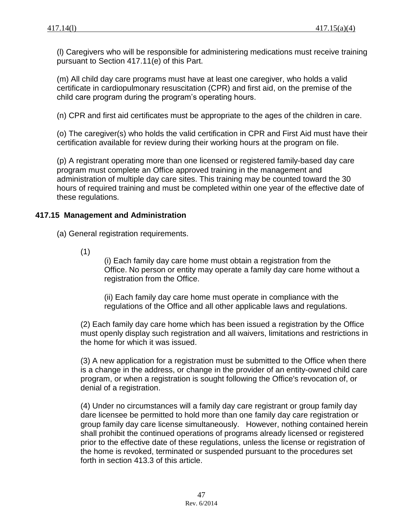(l) Caregivers who will be responsible for administering medications must receive training pursuant to Section 417.11(e) of this Part.

(m) All child day care programs must have at least one caregiver, who holds a valid certificate in cardiopulmonary resuscitation (CPR) and first aid, on the premise of the child care program during the program's operating hours.

(n) CPR and first aid certificates must be appropriate to the ages of the children in care.

(o) The caregiver(s) who holds the valid certification in CPR and First Aid must have their certification available for review during their working hours at the program on file.

(p) A registrant operating more than one licensed or registered family-based day care program must complete an Office approved training in the management and administration of multiple day care sites. This training may be counted toward the 30 hours of required training and must be completed within one year of the effective date of these regulations.

### **417.15 Management and Administration**

(a) General registration requirements.

(1)

(i) Each family day care home must obtain a registration from the Office. No person or entity may operate a family day care home without a registration from the Office.

(ii) Each family day care home must operate in compliance with the regulations of the Office and all other applicable laws and regulations.

(2) Each family day care home which has been issued a registration by the Office must openly display such registration and all waivers, limitations and restrictions in the home for which it was issued.

(3) A new application for a registration must be submitted to the Office when there is a change in the address, or change in the provider of an entity-owned child care program, or when a registration is sought following the Office's revocation of, or denial of a registration.

(4) Under no circumstances will a family day care registrant or group family day dare licensee be permitted to hold more than one family day care registration or group family day care license simultaneously. However, nothing contained herein shall prohibit the continued operations of programs already licensed or registered prior to the effective date of these regulations, unless the license or registration of the home is revoked, terminated or suspended pursuant to the procedures set forth in section 413.3 of this article.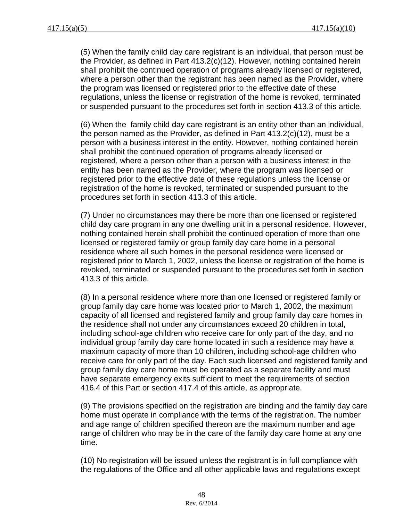(5) When the family child day care registrant is an individual, that person must be the Provider, as defined in Part 413.2(c)(12). However, nothing contained herein shall prohibit the continued operation of programs already licensed or registered, where a person other than the registrant has been named as the Provider, where the program was licensed or registered prior to the effective date of these regulations, unless the license or registration of the home is revoked, terminated or suspended pursuant to the procedures set forth in section 413.3 of this article.

(6) When the family child day care registrant is an entity other than an individual, the person named as the Provider, as defined in Part 413.2(c)(12), must be a person with a business interest in the entity. However, nothing contained herein shall prohibit the continued operation of programs already licensed or registered, where a person other than a person with a business interest in the entity has been named as the Provider, where the program was licensed or registered prior to the effective date of these regulations unless the license or registration of the home is revoked, terminated or suspended pursuant to the procedures set forth in section 413.3 of this article.

(7) Under no circumstances may there be more than one licensed or registered child day care program in any one dwelling unit in a personal residence. However, nothing contained herein shall prohibit the continued operation of more than one licensed or registered family or group family day care home in a personal residence where all such homes in the personal residence were licensed or registered prior to March 1, 2002, unless the license or registration of the home is revoked, terminated or suspended pursuant to the procedures set forth in section 413.3 of this article.

(8) In a personal residence where more than one licensed or registered family or group family day care home was located prior to March 1, 2002, the maximum capacity of all licensed and registered family and group family day care homes in the residence shall not under any circumstances exceed 20 children in total, including school-age children who receive care for only part of the day, and no individual group family day care home located in such a residence may have a maximum capacity of more than 10 children, including school-age children who receive care for only part of the day. Each such licensed and registered family and group family day care home must be operated as a separate facility and must have separate emergency exits sufficient to meet the requirements of section 416.4 of this Part or section 417.4 of this article, as appropriate.

(9) The provisions specified on the registration are binding and the family day care home must operate in compliance with the terms of the registration. The number and age range of children specified thereon are the maximum number and age range of children who may be in the care of the family day care home at any one time.

(10) No registration will be issued unless the registrant is in full compliance with the regulations of the Office and all other applicable laws and regulations except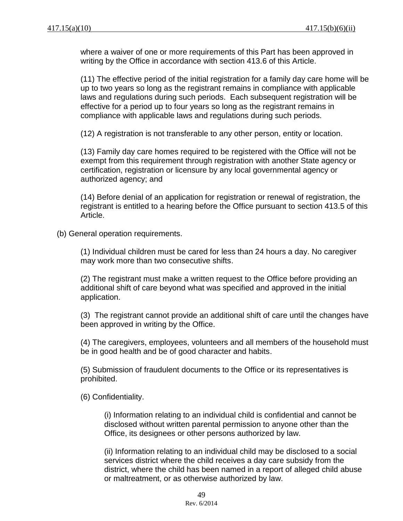where a waiver of one or more requirements of this Part has been approved in writing by the Office in accordance with section 413.6 of this Article.

(11) The effective period of the initial registration for a family day care home will be up to two years so long as the registrant remains in compliance with applicable laws and regulations during such periods. Each subsequent registration will be effective for a period up to four years so long as the registrant remains in compliance with applicable laws and regulations during such periods.

(12) A registration is not transferable to any other person, entity or location.

(13) Family day care homes required to be registered with the Office will not be exempt from this requirement through registration with another State agency or certification, registration or licensure by any local governmental agency or authorized agency; and

(14) Before denial of an application for registration or renewal of registration, the registrant is entitled to a hearing before the Office pursuant to section 413.5 of this Article.

(b) General operation requirements.

(1) Individual children must be cared for less than 24 hours a day. No caregiver may work more than two consecutive shifts.

(2) The registrant must make a written request to the Office before providing an additional shift of care beyond what was specified and approved in the initial application.

(3) The registrant cannot provide an additional shift of care until the changes have been approved in writing by the Office.

(4) The caregivers, employees, volunteers and all members of the household must be in good health and be of good character and habits.

(5) Submission of fraudulent documents to the Office or its representatives is prohibited.

(6) Confidentiality.

(i) Information relating to an individual child is confidential and cannot be disclosed without written parental permission to anyone other than the Office, its designees or other persons authorized by law.

(ii) Information relating to an individual child may be disclosed to a social services district where the child receives a day care subsidy from the district, where the child has been named in a report of alleged child abuse or maltreatment, or as otherwise authorized by law.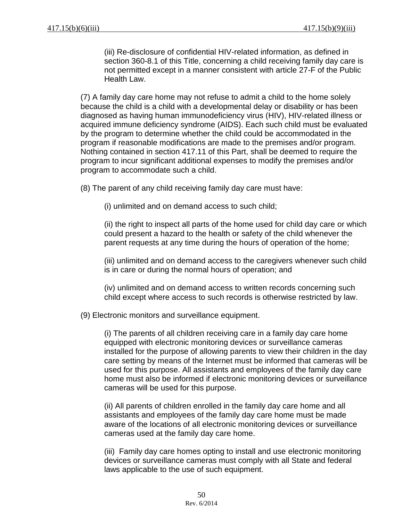(iii) Re-disclosure of confidential HIV-related information, as defined in section 360-8.1 of this Title, concerning a child receiving family day care is not permitted except in a manner consistent with article 27-F of the Public Health Law.

(7) A family day care home may not refuse to admit a child to the home solely because the child is a child with a developmental delay or disability or has been diagnosed as having human immunodeficiency virus (HIV), HIV-related illness or acquired immune deficiency syndrome (AIDS). Each such child must be evaluated by the program to determine whether the child could be accommodated in the program if reasonable modifications are made to the premises and/or program. Nothing contained in section 417.11 of this Part, shall be deemed to require the program to incur significant additional expenses to modify the premises and/or program to accommodate such a child.

(8) The parent of any child receiving family day care must have:

(i) unlimited and on demand access to such child;

(ii) the right to inspect all parts of the home used for child day care or which could present a hazard to the health or safety of the child whenever the parent requests at any time during the hours of operation of the home;

(iii) unlimited and on demand access to the caregivers whenever such child is in care or during the normal hours of operation; and

(iv) unlimited and on demand access to written records concerning such child except where access to such records is otherwise restricted by law.

(9) Electronic monitors and surveillance equipment.

(i) The parents of all children receiving care in a family day care home equipped with electronic monitoring devices or surveillance cameras installed for the purpose of allowing parents to view their children in the day care setting by means of the Internet must be informed that cameras will be used for this purpose. All assistants and employees of the family day care home must also be informed if electronic monitoring devices or surveillance cameras will be used for this purpose.

(ii) All parents of children enrolled in the family day care home and all assistants and employees of the family day care home must be made aware of the locations of all electronic monitoring devices or surveillance cameras used at the family day care home.

(iii) Family day care homes opting to install and use electronic monitoring devices or surveillance cameras must comply with all State and federal laws applicable to the use of such equipment.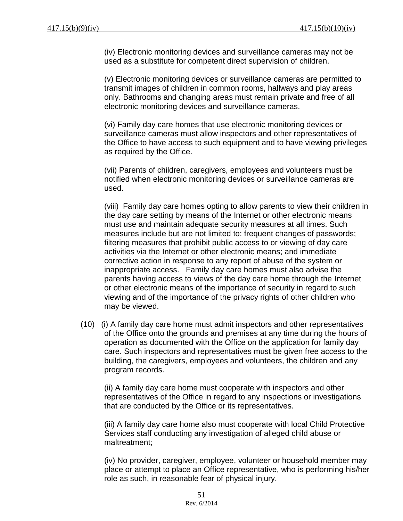(iv) Electronic monitoring devices and surveillance cameras may not be used as a substitute for competent direct supervision of children.

(v) Electronic monitoring devices or surveillance cameras are permitted to transmit images of children in common rooms, hallways and play areas only. Bathrooms and changing areas must remain private and free of all electronic monitoring devices and surveillance cameras.

(vi) Family day care homes that use electronic monitoring devices or surveillance cameras must allow inspectors and other representatives of the Office to have access to such equipment and to have viewing privileges as required by the Office.

(vii) Parents of children, caregivers, employees and volunteers must be notified when electronic monitoring devices or surveillance cameras are used.

(viii) Family day care homes opting to allow parents to view their children in the day care setting by means of the Internet or other electronic means must use and maintain adequate security measures at all times. Such measures include but are not limited to: frequent changes of passwords; filtering measures that prohibit public access to or viewing of day care activities via the Internet or other electronic means; and immediate corrective action in response to any report of abuse of the system or inappropriate access. Family day care homes must also advise the parents having access to views of the day care home through the Internet or other electronic means of the importance of security in regard to such viewing and of the importance of the privacy rights of other children who may be viewed.

(10) (i) A family day care home must admit inspectors and other representatives of the Office onto the grounds and premises at any time during the hours of operation as documented with the Office on the application for family day care. Such inspectors and representatives must be given free access to the building, the caregivers, employees and volunteers, the children and any program records.

(ii) A family day care home must cooperate with inspectors and other representatives of the Office in regard to any inspections or investigations that are conducted by the Office or its representatives.

(iii) A family day care home also must cooperate with local Child Protective Services staff conducting any investigation of alleged child abuse or maltreatment;

(iv) No provider, caregiver, employee, volunteer or household member may place or attempt to place an Office representative, who is performing his/her role as such, in reasonable fear of physical injury.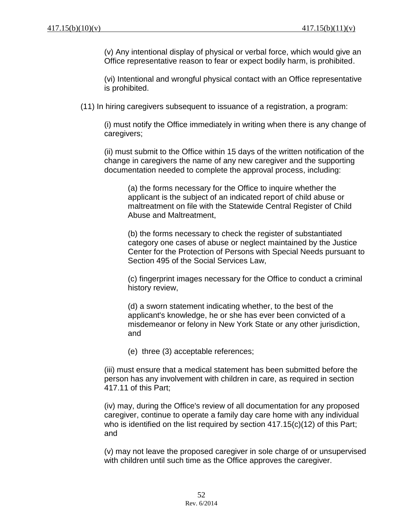(v) Any intentional display of physical or verbal force, which would give an Office representative reason to fear or expect bodily harm, is prohibited.

(vi) Intentional and wrongful physical contact with an Office representative is prohibited.

(11) In hiring caregivers subsequent to issuance of a registration, a program:

(i) must notify the Office immediately in writing when there is any change of caregivers;

(ii) must submit to the Office within 15 days of the written notification of the change in caregivers the name of any new caregiver and the supporting documentation needed to complete the approval process, including:

(a) the forms necessary for the Office to inquire whether the applicant is the subject of an indicated report of child abuse or maltreatment on file with the Statewide Central Register of Child Abuse and Maltreatment,

(b) the forms necessary to check the register of substantiated category one cases of abuse or neglect maintained by the Justice Center for the Protection of Persons with Special Needs pursuant to Section 495 of the Social Services Law,

(c) fingerprint images necessary for the Office to conduct a criminal history review,

(d) a sworn statement indicating whether, to the best of the applicant's knowledge, he or she has ever been convicted of a misdemeanor or felony in New York State or any other jurisdiction, and

(e) three (3) acceptable references;

(iii) must ensure that a medical statement has been submitted before the person has any involvement with children in care, as required in section 417.11 of this Part;

(iv) may, during the Office's review of all documentation for any proposed caregiver, continue to operate a family day care home with any individual who is identified on the list required by section 417.15(c)(12) of this Part; and

(v) may not leave the proposed caregiver in sole charge of or unsupervised with children until such time as the Office approves the caregiver.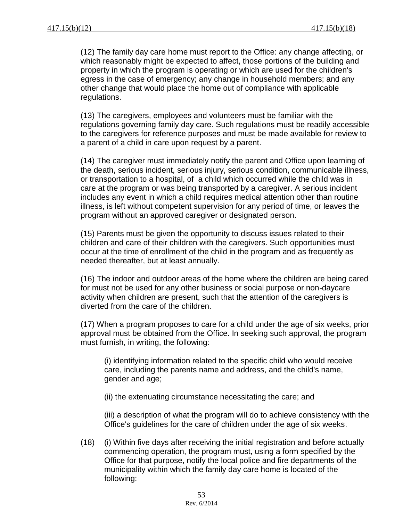(12) The family day care home must report to the Office: any change affecting, or which reasonably might be expected to affect, those portions of the building and property in which the program is operating or which are used for the children's egress in the case of emergency; any change in household members; and any other change that would place the home out of compliance with applicable regulations.

(13) The caregivers, employees and volunteers must be familiar with the regulations governing family day care. Such regulations must be readily accessible to the caregivers for reference purposes and must be made available for review to a parent of a child in care upon request by a parent.

(14) The caregiver must immediately notify the parent and Office upon learning of the death, serious incident, serious injury, serious condition, communicable illness, or transportation to a hospital, of a child which occurred while the child was in care at the program or was being transported by a caregiver. A serious incident includes any event in which a child requires medical attention other than routine illness, is left without competent supervision for any period of time, or leaves the program without an approved caregiver or designated person.

(15) Parents must be given the opportunity to discuss issues related to their children and care of their children with the caregivers. Such opportunities must occur at the time of enrollment of the child in the program and as frequently as needed thereafter, but at least annually.

(16) The indoor and outdoor areas of the home where the children are being cared for must not be used for any other business or social purpose or non-daycare activity when children are present, such that the attention of the caregivers is diverted from the care of the children.

(17) When a program proposes to care for a child under the age of six weeks, prior approval must be obtained from the Office. In seeking such approval, the program must furnish, in writing, the following:

(i) identifying information related to the specific child who would receive care, including the parents name and address, and the child's name, gender and age;

(ii) the extenuating circumstance necessitating the care; and

(iii) a description of what the program will do to achieve consistency with the Office's guidelines for the care of children under the age of six weeks.

(18) (i) Within five days after receiving the initial registration and before actually commencing operation, the program must, using a form specified by the Office for that purpose, notify the local police and fire departments of the municipality within which the family day care home is located of the following: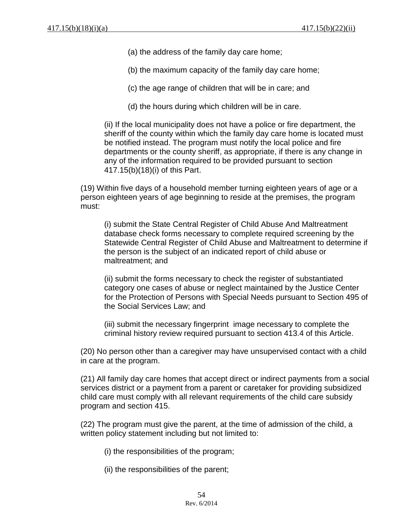- (a) the address of the family day care home;
- (b) the maximum capacity of the family day care home;
- (c) the age range of children that will be in care; and
- (d) the hours during which children will be in care.

(ii) If the local municipality does not have a police or fire department, the sheriff of the county within which the family day care home is located must be notified instead. The program must notify the local police and fire departments or the county sheriff, as appropriate, if there is any change in any of the information required to be provided pursuant to section 417.15(b)(18)(i) of this Part.

(19) Within five days of a household member turning eighteen years of age or a person eighteen years of age beginning to reside at the premises, the program must:

(i) submit the State Central Register of Child Abuse And Maltreatment database check forms necessary to complete required screening by the Statewide Central Register of Child Abuse and Maltreatment to determine if the person is the subject of an indicated report of child abuse or maltreatment; and

(ii) submit the forms necessary to check the register of substantiated category one cases of abuse or neglect maintained by the Justice Center for the Protection of Persons with Special Needs pursuant to Section 495 of the Social Services Law; and

(iii) submit the necessary fingerprint image necessary to complete the criminal history review required pursuant to section 413.4 of this Article.

(20) No person other than a caregiver may have unsupervised contact with a child in care at the program.

(21) All family day care homes that accept direct or indirect payments from a social services district or a payment from a parent or caretaker for providing subsidized child care must comply with all relevant requirements of the child care subsidy program and section 415.

(22) The program must give the parent, at the time of admission of the child, a written policy statement including but not limited to:

(i) the responsibilities of the program;

(ii) the responsibilities of the parent;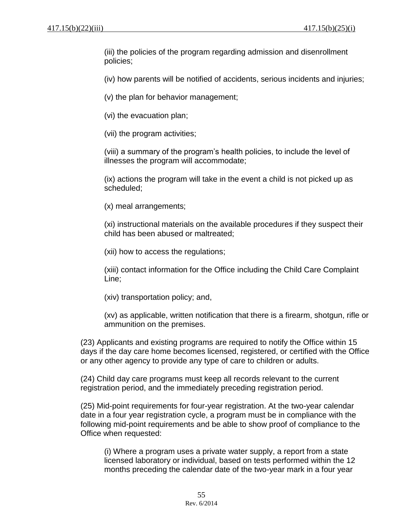(iii) the policies of the program regarding admission and disenrollment policies;

(iv) how parents will be notified of accidents, serious incidents and injuries;

(v) the plan for behavior management;

(vi) the evacuation plan;

(vii) the program activities;

(viii) a summary of the program's health policies, to include the level of illnesses the program will accommodate;

(ix) actions the program will take in the event a child is not picked up as scheduled;

(x) meal arrangements;

(xi) instructional materials on the available procedures if they suspect their child has been abused or maltreated;

(xii) how to access the regulations;

(xiii) contact information for the Office including the Child Care Complaint Line;

(xiv) transportation policy; and,

(xv) as applicable, written notification that there is a firearm, shotgun, rifle or ammunition on the premises.

(23) Applicants and existing programs are required to notify the Office within 15 days if the day care home becomes licensed, registered, or certified with the Office or any other agency to provide any type of care to children or adults.

(24) Child day care programs must keep all records relevant to the current registration period, and the immediately preceding registration period.

(25) Mid-point requirements for four-year registration. At the two-year calendar date in a four year registration cycle, a program must be in compliance with the following mid-point requirements and be able to show proof of compliance to the Office when requested:

(i) Where a program uses a private water supply, a report from a state licensed laboratory or individual, based on tests performed within the 12 months preceding the calendar date of the two-year mark in a four year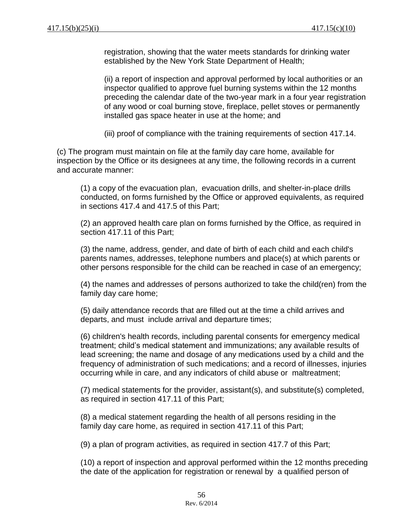registration, showing that the water meets standards for drinking water established by the New York State Department of Health;

(ii) a report of inspection and approval performed by local authorities or an inspector qualified to approve fuel burning systems within the 12 months preceding the calendar date of the two-year mark in a four year registration of any wood or coal burning stove, fireplace, pellet stoves or permanently installed gas space heater in use at the home; and

(iii) proof of compliance with the training requirements of section 417.14.

(c) The program must maintain on file at the family day care home, available for inspection by the Office or its designees at any time, the following records in a current and accurate manner:

(1) a copy of the evacuation plan, evacuation drills, and shelter-in-place drills conducted, on forms furnished by the Office or approved equivalents, as required in sections 417.4 and 417.5 of this Part;

(2) an approved health care plan on forms furnished by the Office, as required in section 417.11 of this Part:

(3) the name, address, gender, and date of birth of each child and each child's parents names, addresses, telephone numbers and place(s) at which parents or other persons responsible for the child can be reached in case of an emergency;

(4) the names and addresses of persons authorized to take the child(ren) from the family day care home;

(5) daily attendance records that are filled out at the time a child arrives and departs, and must include arrival and departure times;

(6) children's health records, including parental consents for emergency medical treatment; child's medical statement and immunizations; any available results of lead screening; the name and dosage of any medications used by a child and the frequency of administration of such medications; and a record of illnesses, injuries occurring while in care, and any indicators of child abuse or maltreatment;

(7) medical statements for the provider, assistant(s), and substitute(s) completed, as required in section 417.11 of this Part;

(8) a medical statement regarding the health of all persons residing in the family day care home, as required in section 417.11 of this Part;

(9) a plan of program activities, as required in section 417.7 of this Part;

(10) a report of inspection and approval performed within the 12 months preceding the date of the application for registration or renewal by a qualified person of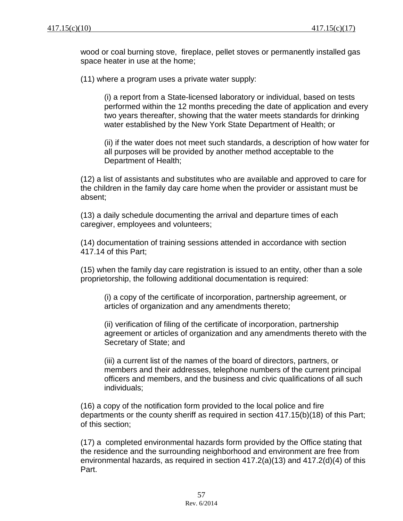wood or coal burning stove, fireplace, pellet stoves or permanently installed gas space heater in use at the home;

(11) where a program uses a private water supply:

(i) a report from a State-licensed laboratory or individual, based on tests performed within the 12 months preceding the date of application and every two years thereafter, showing that the water meets standards for drinking water established by the New York State Department of Health; or

(ii) if the water does not meet such standards, a description of how water for all purposes will be provided by another method acceptable to the Department of Health;

(12) a list of assistants and substitutes who are available and approved to care for the children in the family day care home when the provider or assistant must be absent;

(13) a daily schedule documenting the arrival and departure times of each caregiver, employees and volunteers;

(14) documentation of training sessions attended in accordance with section 417.14 of this Part;

(15) when the family day care registration is issued to an entity, other than a sole proprietorship, the following additional documentation is required:

(i) a copy of the certificate of incorporation, partnership agreement, or articles of organization and any amendments thereto;

(ii) verification of filing of the certificate of incorporation, partnership agreement or articles of organization and any amendments thereto with the Secretary of State; and

(iii) a current list of the names of the board of directors, partners, or members and their addresses, telephone numbers of the current principal officers and members, and the business and civic qualifications of all such individuals;

(16) a copy of the notification form provided to the local police and fire departments or the county sheriff as required in section 417.15(b)(18) of this Part; of this section;

(17) a completed environmental hazards form provided by the Office stating that the residence and the surrounding neighborhood and environment are free from environmental hazards, as required in section 417.2(a)(13) and 417.2(d)(4) of this Part.